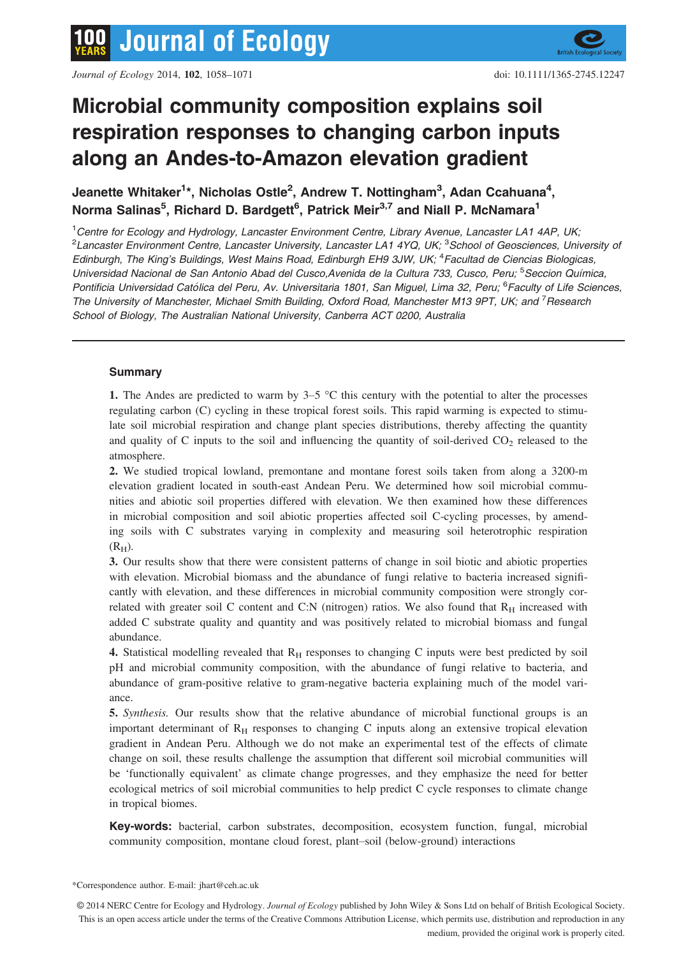# Microbial community composition explains soil respiration responses to changing carbon inputs along an Andes-to-Amazon elevation gradient

Jeanette Whitaker<sup>1</sup>\*, Nicholas Ostle<sup>2</sup>, Andrew T. Nottingham<sup>3</sup>, Adan Ccahuana<sup>4</sup>, Norma Salinas<sup>5</sup>, Richard D. Bardgett<sup>6</sup>, Patrick Meir<sup>3,7</sup> and Niall P. McNamara<sup>1</sup>

<sup>1</sup> Centre for Ecology and Hydrology, Lancaster Environment Centre, Library Avenue, Lancaster LA1 4AP, UK, <sup>2</sup>Lancaster Environment Centre, Lancaster University, Lancaster LA1 4YQ, UK; <sup>3</sup>School of Geosciences, University oi Edinburgh, The King's Buildings, West Mains Road, Edinburgh EH9 3JW, UK; <sup>4</sup> Facultad de Ciencias Biologicas, Universidad Nacional de San Antonio Abad del Cusco, Avenida de la Cultura 733, Cusco, Peru; <sup>5</sup> Seccion Química, Pontificia Universidad Católica del Peru, Av. Universitaria 1801, San Miguel, Lima 32, Peru; <sup>6</sup>Faculty of Life Sciences, The University of Manchester, Michael Smith Building, Oxford Road, Manchester M13 9PT, UK; and <sup>7</sup> Research School of Biology, The Australian National University, Canberra ACT 0200, Australia

# **Summary**

1. The Andes are predicted to warm by  $3-5$  °C this century with the potential to alter the processes regulating carbon (C) cycling in these tropical forest soils. This rapid warming is expected to stimulate soil microbial respiration and change plant species distributions, thereby affecting the quantity and quality of C inputs to the soil and influencing the quantity of soil-derived  $CO<sub>2</sub>$  released to the atmosphere.

2. We studied tropical lowland, premontane and montane forest soils taken from along a 3200-m elevation gradient located in south-east Andean Peru. We determined how soil microbial communities and abiotic soil properties differed with elevation. We then examined how these differences in microbial composition and soil abiotic properties affected soil C-cycling processes, by amending soils with C substrates varying in complexity and measuring soil heterotrophic respiration  $(R<sub>H</sub>)$ .

3. Our results show that there were consistent patterns of change in soil biotic and abiotic properties with elevation. Microbial biomass and the abundance of fungi relative to bacteria increased significantly with elevation, and these differences in microbial community composition were strongly correlated with greater soil C content and C:N (nitrogen) ratios. We also found that  $R_H$  increased with added C substrate quality and quantity and was positively related to microbial biomass and fungal abundance.

4. Statistical modelling revealed that  $R_H$  responses to changing C inputs were best predicted by soil pH and microbial community composition, with the abundance of fungi relative to bacteria, and abundance of gram-positive relative to gram-negative bacteria explaining much of the model variance.

5. Synthesis. Our results show that the relative abundance of microbial functional groups is an important determinant of  $R_H$  responses to changing C inputs along an extensive tropical elevation gradient in Andean Peru. Although we do not make an experimental test of the effects of climate change on soil, these results challenge the assumption that different soil microbial communities will be 'functionally equivalent' as climate change progresses, and they emphasize the need for better ecological metrics of soil microbial communities to help predict C cycle responses to climate change in tropical biomes.

Key-words: bacterial, carbon substrates, decomposition, ecosystem function, fungal, microbial community composition, montane cloud forest, plant–soil (below-ground) interactions

\*Correspondence author. E-mail: jhart@ceh.ac.uk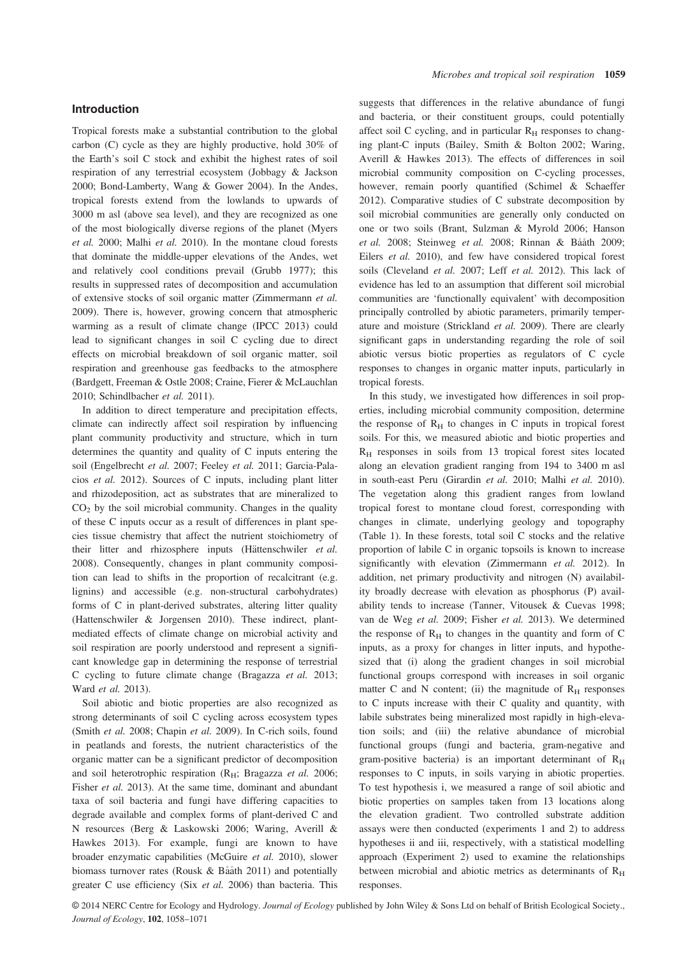## Introduction

Tropical forests make a substantial contribution to the global carbon (C) cycle as they are highly productive, hold 30% of the Earth's soil C stock and exhibit the highest rates of soil respiration of any terrestrial ecosystem (Jobbagy & Jackson 2000; Bond-Lamberty, Wang & Gower 2004). In the Andes, tropical forests extend from the lowlands to upwards of 3000 m asl (above sea level), and they are recognized as one of the most biologically diverse regions of the planet (Myers et al. 2000; Malhi et al. 2010). In the montane cloud forests that dominate the middle-upper elevations of the Andes, wet and relatively cool conditions prevail (Grubb 1977); this results in suppressed rates of decomposition and accumulation of extensive stocks of soil organic matter (Zimmermann et al. 2009). There is, however, growing concern that atmospheric warming as a result of climate change (IPCC 2013) could lead to significant changes in soil C cycling due to direct effects on microbial breakdown of soil organic matter, soil respiration and greenhouse gas feedbacks to the atmosphere (Bardgett, Freeman & Ostle 2008; Craine, Fierer & McLauchlan 2010; Schindlbacher et al. 2011).

In addition to direct temperature and precipitation effects, climate can indirectly affect soil respiration by influencing plant community productivity and structure, which in turn determines the quantity and quality of C inputs entering the soil (Engelbrecht et al. 2007; Feeley et al. 2011; Garcia-Palacios et al. 2012). Sources of C inputs, including plant litter and rhizodeposition, act as substrates that are mineralized to  $CO<sub>2</sub>$  by the soil microbial community. Changes in the quality of these C inputs occur as a result of differences in plant species tissue chemistry that affect the nutrient stoichiometry of their litter and rhizosphere inputs (Hättenschwiler et al. 2008). Consequently, changes in plant community composition can lead to shifts in the proportion of recalcitrant (e.g. lignins) and accessible (e.g. non-structural carbohydrates) forms of C in plant-derived substrates, altering litter quality (Hattenschwiler & Jorgensen 2010). These indirect, plantmediated effects of climate change on microbial activity and soil respiration are poorly understood and represent a significant knowledge gap in determining the response of terrestrial C cycling to future climate change (Bragazza et al. 2013; Ward et al. 2013).

Soil abiotic and biotic properties are also recognized as strong determinants of soil C cycling across ecosystem types (Smith et al. 2008; Chapin et al. 2009). In C-rich soils, found in peatlands and forests, the nutrient characteristics of the organic matter can be a significant predictor of decomposition and soil heterotrophic respiration ( $R_H$ ; Bragazza et al. 2006; Fisher et al. 2013). At the same time, dominant and abundant taxa of soil bacteria and fungi have differing capacities to degrade available and complex forms of plant-derived C and N resources (Berg & Laskowski 2006; Waring, Averill & Hawkes 2013). For example, fungi are known to have broader enzymatic capabilities (McGuire et al. 2010), slower biomass turnover rates (Rousk & Bååth 2011) and potentially greater C use efficiency (Six et al. 2006) than bacteria. This suggests that differences in the relative abundance of fungi and bacteria, or their constituent groups, could potentially affect soil C cycling, and in particular  $R<sub>H</sub>$  responses to changing plant-C inputs (Bailey, Smith & Bolton 2002; Waring, Averill & Hawkes 2013). The effects of differences in soil microbial community composition on C-cycling processes, however, remain poorly quantified (Schimel & Schaeffer 2012). Comparative studies of C substrate decomposition by soil microbial communities are generally only conducted on one or two soils (Brant, Sulzman & Myrold 2006; Hanson et al. 2008; Steinweg et al. 2008; Rinnan & Bååth 2009; Eilers et al. 2010), and few have considered tropical forest soils (Cleveland et al. 2007; Leff et al. 2012). This lack of evidence has led to an assumption that different soil microbial communities are 'functionally equivalent' with decomposition principally controlled by abiotic parameters, primarily temperature and moisture (Strickland et al. 2009). There are clearly significant gaps in understanding regarding the role of soil abiotic versus biotic properties as regulators of C cycle responses to changes in organic matter inputs, particularly in tropical forests.

In this study, we investigated how differences in soil properties, including microbial community composition, determine the response of  $R_H$  to changes in C inputs in tropical forest soils. For this, we measured abiotic and biotic properties and  $R<sub>H</sub>$  responses in soils from 13 tropical forest sites located along an elevation gradient ranging from 194 to 3400 m asl in south-east Peru (Girardin et al. 2010; Malhi et al. 2010). The vegetation along this gradient ranges from lowland tropical forest to montane cloud forest, corresponding with changes in climate, underlying geology and topography (Table 1). In these forests, total soil C stocks and the relative proportion of labile C in organic topsoils is known to increase significantly with elevation (Zimmermann et al. 2012). In addition, net primary productivity and nitrogen (N) availability broadly decrease with elevation as phosphorus (P) availability tends to increase (Tanner, Vitousek & Cuevas 1998; van de Weg et al. 2009; Fisher et al. 2013). We determined the response of  $R<sub>H</sub>$  to changes in the quantity and form of C inputs, as a proxy for changes in litter inputs, and hypothesized that (i) along the gradient changes in soil microbial functional groups correspond with increases in soil organic matter C and N content; (ii) the magnitude of  $R_H$  responses to C inputs increase with their C quality and quantity, with labile substrates being mineralized most rapidly in high-elevation soils; and (iii) the relative abundance of microbial functional groups (fungi and bacteria, gram-negative and gram-positive bacteria) is an important determinant of  $R_H$ responses to C inputs, in soils varying in abiotic properties. To test hypothesis i, we measured a range of soil abiotic and biotic properties on samples taken from 13 locations along the elevation gradient. Two controlled substrate addition assays were then conducted (experiments 1 and 2) to address hypotheses ii and iii, respectively, with a statistical modelling approach (Experiment 2) used to examine the relationships between microbial and abiotic metrics as determinants of  $R_H$ responses.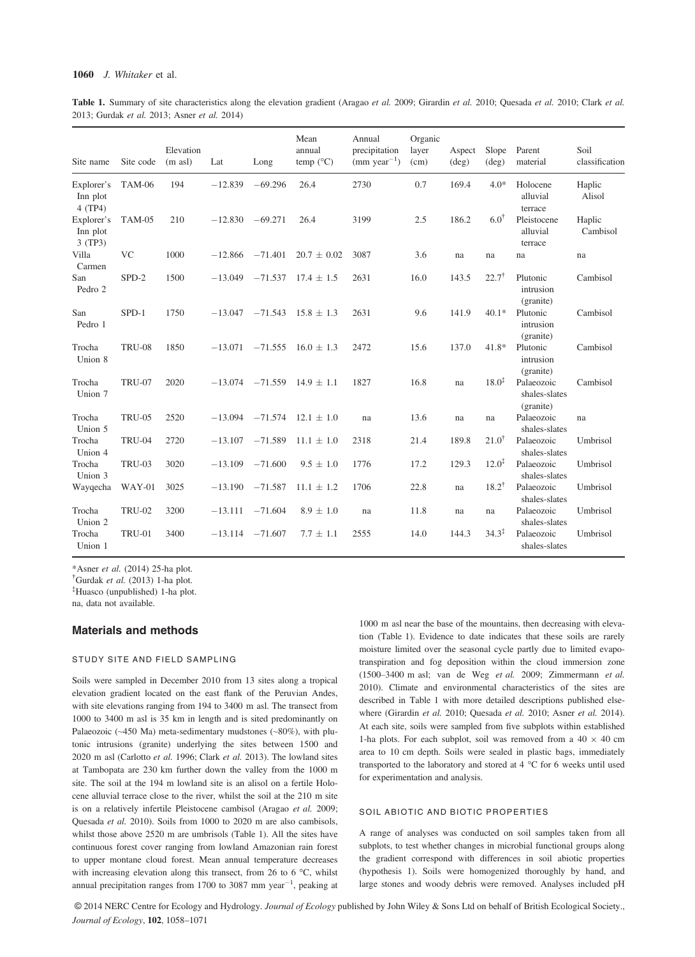## 1060 J. Whitaker et al.

Table 1. Summary of site characteristics along the elevation gradient (Aragao et al. 2009; Girardin et al. 2010; Quesada et al. 2010; Clark et al. 2013; Gurdak et al. 2013; Asner et al. 2014)

| Site name                         | Site code     | Elevation<br>$(m \text{ as} l)$ | Lat       | Long      | Mean<br>annual<br>temp $(^{\circ}C)$ | Annual<br>precipitation<br>$(mm \text{ year}^{-1})$ | Organic<br>layer<br>(cm) | Aspect<br>$(\text{deg})$ | Slope<br>$(\text{deg})$ | Parent<br>material                       | Soil<br>classification |
|-----------------------------------|---------------|---------------------------------|-----------|-----------|--------------------------------------|-----------------------------------------------------|--------------------------|--------------------------|-------------------------|------------------------------------------|------------------------|
| Explorer's<br>Inn plot<br>4 (TP4) | TAM-06        | 194                             | $-12.839$ | $-69.296$ | 26.4                                 | 2730                                                | 0.7                      | 169.4                    | $4.0*$                  | Holocene<br>alluvial<br>terrace          | Haplic<br>Alisol       |
| Explorer's<br>Inn plot<br>3 (TP3) | TAM-05        | 210                             | $-12.830$ | $-69.271$ | 26.4                                 | 3199                                                | 2.5                      | 186.2                    | $6.0^{\dagger}$         | Pleistocene<br>alluvial<br>terrace       | Haplic<br>Cambisol     |
| Villa<br>Carmen                   | <b>VC</b>     | 1000                            | $-12.866$ | $-71.401$ | $20.7 \pm 0.02$                      | 3087                                                | 3.6                      | na                       | na                      | na                                       | na                     |
| San<br>Pedro 2                    | $SPD-2$       | 1500                            | $-13.049$ | $-71.537$ | $17.4 \pm 1.5$                       | 2631                                                | 16.0                     | 143.5                    | $22.7^{\dagger}$        | Plutonic<br>intrusion<br>(granite)       | Cambisol               |
| San<br>Pedro 1                    | $SPD-1$       | 1750                            | $-13.047$ | $-71.543$ | $15.8 \pm 1.3$                       | 2631                                                | 9.6                      | 141.9                    | $40.1*$                 | Plutonic<br>intrusion<br>(granite)       | Cambisol               |
| Trocha<br>Union 8                 | <b>TRU-08</b> | 1850                            | $-13.071$ | $-71.555$ | $16.0 \pm 1.3$                       | 2472                                                | 15.6                     | 137.0                    | $41.8*$                 | Plutonic<br>intrusion<br>(granite)       | Cambisol               |
| Trocha<br>Union 7                 | <b>TRU-07</b> | 2020                            | $-13.074$ | $-71.559$ | $14.9 \pm 1.1$                       | 1827                                                | 16.8                     | na                       | $18.0^{\ddagger}$       | Palaeozoic<br>shales-slates<br>(granite) | Cambisol               |
| Trocha<br>Union 5                 | <b>TRU-05</b> | 2520                            | $-13.094$ | $-71.574$ | $12.1 \pm 1.0$                       | na                                                  | 13.6                     | na                       | na                      | Palaeozoic<br>shales-slates              | na                     |
| Trocha<br>Union 4                 | <b>TRU-04</b> | 2720                            | $-13.107$ | $-71.589$ | $11.1 \pm 1.0$                       | 2318                                                | 21.4                     | 189.8                    | $21.0^{\dagger}$        | Palaeozoic<br>shales-slates              | Umbrisol               |
| Trocha<br>Union 3                 | <b>TRU-03</b> | 3020                            | $-13.109$ | $-71.600$ | $9.5 \pm 1.0$                        | 1776                                                | 17.2                     | 129.3                    | $12.0^{\ddagger}$       | Palaeozoic<br>shales-slates              | Umbrisol               |
| Wayqecha                          | WAY-01        | 3025                            | $-13.190$ | $-71.587$ | $11.1 \pm 1.2$                       | 1706                                                | 22.8                     | na                       | $18.2^{\dagger}$        | Palaeozoic<br>shales-slates              | Umbrisol               |
| Trocha<br>Union 2                 | <b>TRU-02</b> | 3200                            | $-13.111$ | $-71.604$ | $8.9 \pm 1.0$                        | na                                                  | 11.8                     | na                       | na                      | Palaeozoic<br>shales-slates              | Umbrisol               |
| Trocha<br>Union 1                 | <b>TRU-01</b> | 3400                            | $-13.114$ | $-71.607$ | $7.7 \pm 1.1$                        | 2555                                                | 14.0                     | 144.3                    | $34.3^{\ddagger}$       | Palaeozoic<br>shales-slates              | Umbrisol               |

\*Asner et al. (2014) 25-ha plot.

† Gurdak et al. (2013) 1-ha plot.

‡ Huasco (unpublished) 1-ha plot.

na, data not available.

### Materials and methods

### STUDY SITE AND FIELD SAMPLING

Soils were sampled in December 2010 from 13 sites along a tropical elevation gradient located on the east flank of the Peruvian Andes, with site elevations ranging from 194 to 3400 m asl. The transect from 1000 to 3400 m asl is 35 km in length and is sited predominantly on Palaeozoic (~450 Ma) meta-sedimentary mudstones (~80%), with plutonic intrusions (granite) underlying the sites between 1500 and 2020 m asl (Carlotto et al. 1996; Clark et al. 2013). The lowland sites at Tambopata are 230 km further down the valley from the 1000 m site. The soil at the 194 m lowland site is an alisol on a fertile Holocene alluvial terrace close to the river, whilst the soil at the 210 m site is on a relatively infertile Pleistocene cambisol (Aragao et al. 2009; Quesada et al. 2010). Soils from 1000 to 2020 m are also cambisols, whilst those above 2520 m are umbrisols (Table 1). All the sites have continuous forest cover ranging from lowland Amazonian rain forest to upper montane cloud forest. Mean annual temperature decreases with increasing elevation along this transect, from 26 to 6 °C, whilst annual precipitation ranges from 1700 to 3087 mm year<sup>-1</sup>, peaking at

1000 m asl near the base of the mountains, then decreasing with elevation (Table 1). Evidence to date indicates that these soils are rarely moisture limited over the seasonal cycle partly due to limited evapotranspiration and fog deposition within the cloud immersion zone (1500–3400 m asl; van de Weg et al. 2009; Zimmermann et al. 2010). Climate and environmental characteristics of the sites are described in Table 1 with more detailed descriptions published elsewhere (Girardin et al. 2010; Quesada et al. 2010; Asner et al. 2014). At each site, soils were sampled from five subplots within established 1-ha plots. For each subplot, soil was removed from a  $40 \times 40$  cm area to 10 cm depth. Soils were sealed in plastic bags, immediately transported to the laboratory and stored at 4 °C for 6 weeks until used for experimentation and analysis.

### SOIL ABIOTIC AND BIOTIC PROPERTIES

A range of analyses was conducted on soil samples taken from all subplots, to test whether changes in microbial functional groups along the gradient correspond with differences in soil abiotic properties (hypothesis 1). Soils were homogenized thoroughly by hand, and large stones and woody debris were removed. Analyses included pH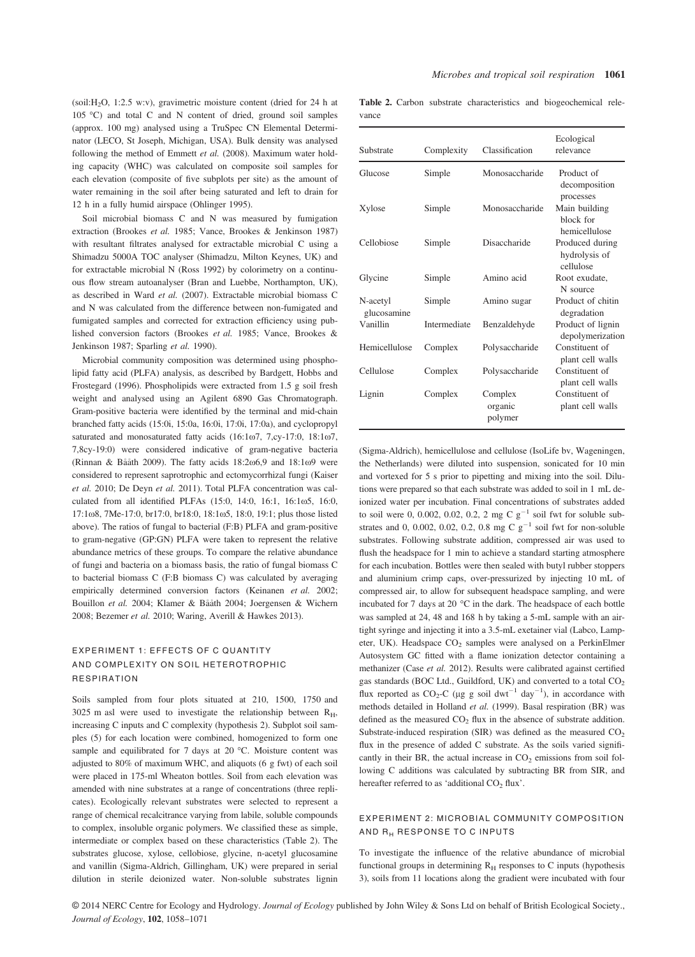$(soil:H<sub>2</sub>O, 1:2.5 w.v)$ , gravimetric moisture content (dried for 24 h at 105 °C) and total C and N content of dried, ground soil samples (approx. 100 mg) analysed using a TruSpec CN Elemental Determinator (LECO, St Joseph, Michigan, USA). Bulk density was analysed following the method of Emmett et al. (2008). Maximum water holding capacity (WHC) was calculated on composite soil samples for each elevation (composite of five subplots per site) as the amount of water remaining in the soil after being saturated and left to drain for 12 h in a fully humid airspace (Ohlinger 1995).

Soil microbial biomass C and N was measured by fumigation extraction (Brookes et al. 1985; Vance, Brookes & Jenkinson 1987) with resultant filtrates analysed for extractable microbial C using a Shimadzu 5000A TOC analyser (Shimadzu, Milton Keynes, UK) and for extractable microbial N (Ross 1992) by colorimetry on a continuous flow stream autoanalyser (Bran and Luebbe, Northampton, UK), as described in Ward et al. (2007). Extractable microbial biomass C and N was calculated from the difference between non-fumigated and fumigated samples and corrected for extraction efficiency using published conversion factors (Brookes et al. 1985; Vance, Brookes & Jenkinson 1987; Sparling et al. 1990).

Microbial community composition was determined using phospholipid fatty acid (PLFA) analysis, as described by Bardgett, Hobbs and Frostegard (1996). Phospholipids were extracted from 1.5 g soil fresh weight and analysed using an Agilent 6890 Gas Chromatograph. Gram-positive bacteria were identified by the terminal and mid-chain branched fatty acids (15:0i, 15:0a, 16:0i, 17:0i, 17:0a), and cyclopropyl saturated and monosaturated fatty acids  $(16:1\omega7, 7,cy-17:0, 18:1\omega7,$ 7,8cy-19:0) were considered indicative of gram-negative bacteria (Rinnan & Bååth 2009). The fatty acids  $18:2\omega$ 6,9 and  $18:1\omega$ 9 were considered to represent saprotrophic and ectomycorrhizal fungi (Kaiser et al. 2010; De Deyn et al. 2011). Total PLFA concentration was calculated from all identified PLFAs  $(15:0, 14:0, 16:1, 16:1\omega$ 5, 16:0, 17:1 $\omega$ 8, 7Me-17:0, br17:0, br18:0, 18:1 $\omega$ 5, 18:0, 19:1; plus those listed above). The ratios of fungal to bacterial (F:B) PLFA and gram-positive to gram-negative (GP:GN) PLFA were taken to represent the relative abundance metrics of these groups. To compare the relative abundance of fungi and bacteria on a biomass basis, the ratio of fungal biomass C to bacterial biomass C (F:B biomass C) was calculated by averaging empirically determined conversion factors (Keinanen et al. 2002; Bouillon et al. 2004; Klamer & Bååth 2004; Joergensen & Wichern 2008; Bezemer et al. 2010; Waring, Averill & Hawkes 2013).

## EXPERIMENT 1: EFFECTS OF C QUANTITY AND COMPLEXITY ON SOIL HETEROTROPHIC RESPIRATION

Soils sampled from four plots situated at 210, 1500, 1750 and 3025 m asl were used to investigate the relationship between R<sub>H</sub>, increasing C inputs and C complexity (hypothesis 2). Subplot soil samples (5) for each location were combined, homogenized to form one sample and equilibrated for 7 days at 20 °C. Moisture content was adjusted to 80% of maximum WHC, and aliquots (6 g fwt) of each soil were placed in 175-ml Wheaton bottles. Soil from each elevation was amended with nine substrates at a range of concentrations (three replicates). Ecologically relevant substrates were selected to represent a range of chemical recalcitrance varying from labile, soluble compounds to complex, insoluble organic polymers. We classified these as simple, intermediate or complex based on these characteristics (Table 2). The substrates glucose, xylose, cellobiose, glycine, n-acetyl glucosamine and vanillin (Sigma-Aldrich, Gillingham, UK) were prepared in serial dilution in sterile deionized water. Non-soluble substrates lignin

Table 2. Carbon substrate characteristics and biogeochemical relevance

| Substrate               | Complexity   | Classification                | Ecological<br>relevance                       |
|-------------------------|--------------|-------------------------------|-----------------------------------------------|
| Glucose                 | Simple       | Monosaccharide                | Product of<br>decomposition<br>processes      |
| Xylose                  | Simple       | Monosaccharide                | Main building<br>block for<br>hemicellulose   |
| Cellobiose              | Simple       | Disaccharide                  | Produced during<br>hydrolysis of<br>cellulose |
| Glycine                 | Simple       | Amino acid                    | Root exudate,<br>N source                     |
| N-acetyl<br>glucosamine | Simple       | Amino sugar                   | Product of chitin<br>degradation              |
| Vanillin                | Intermediate | Benzaldehyde                  | Product of lignin<br>depolymerization         |
| Hemicellulose           | Complex      | Polysaccharide                | Constituent of<br>plant cell walls            |
| Cellulose               | Complex      | Polysaccharide                | Constituent of<br>plant cell walls            |
| Lignin                  | Complex      | Complex<br>organic<br>polymer | Constituent of<br>plant cell walls            |

(Sigma-Aldrich), hemicellulose and cellulose (IsoLife bv, Wageningen, the Netherlands) were diluted into suspension, sonicated for 10 min and vortexed for 5 s prior to pipetting and mixing into the soil. Dilutions were prepared so that each substrate was added to soil in 1 mL deionized water per incubation. Final concentrations of substrates added to soil were 0, 0.002, 0.02, 0.2, 2 mg C  $g^{-1}$  soil fwt for soluble substrates and 0, 0.002, 0.02, 0.2, 0.8 mg C  $g^{-1}$  soil fwt for non-soluble substrates. Following substrate addition, compressed air was used to flush the headspace for 1 min to achieve a standard starting atmosphere for each incubation. Bottles were then sealed with butyl rubber stoppers and aluminium crimp caps, over-pressurized by injecting 10 mL of compressed air, to allow for subsequent headspace sampling, and were incubated for 7 days at 20 °C in the dark. The headspace of each bottle was sampled at 24, 48 and 168 h by taking a 5-mL sample with an airtight syringe and injecting it into a 3.5-mL exetainer vial (Labco, Lampeter, UK). Headspace CO<sub>2</sub> samples were analysed on a PerkinElmer Autosystem GC fitted with a flame ionization detector containing a methanizer (Case et al. 2012). Results were calibrated against certified gas standards (BOC Ltd., Guildford, UK) and converted to a total CO<sub>2</sub> flux reported as  $CO_2$ -C (µg g soil dwt<sup>-1</sup> day<sup>-1</sup>), in accordance with methods detailed in Holland et al. (1999). Basal respiration (BR) was defined as the measured  $CO<sub>2</sub>$  flux in the absence of substrate addition. Substrate-induced respiration (SIR) was defined as the measured  $CO<sub>2</sub>$ flux in the presence of added C substrate. As the soils varied significantly in their BR, the actual increase in  $CO<sub>2</sub>$  emissions from soil following C additions was calculated by subtracting BR from SIR, and hereafter referred to as 'additional CO<sub>2</sub> flux'.

## EXPERIMENT 2: MICROBIAL COMMUNITY COMPOSITION AND R<sub>H</sub> RESPONSE TO C INPUTS

To investigate the influence of the relative abundance of microbial functional groups in determining  $R_H$  responses to  $C$  inputs (hypothesis 3), soils from 11 locations along the gradient were incubated with four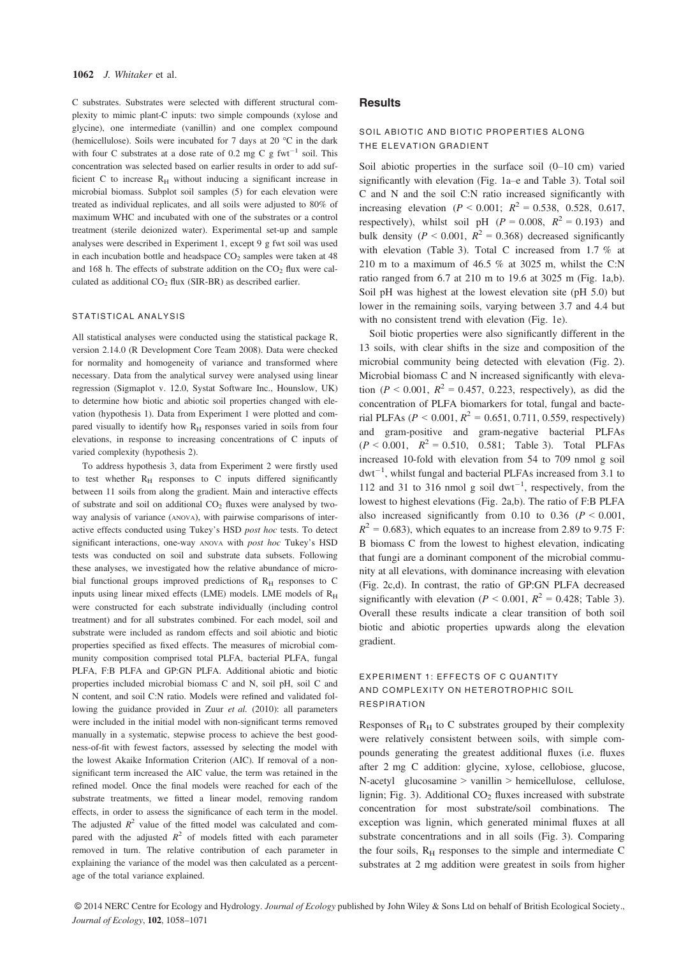C substrates. Substrates were selected with different structural complexity to mimic plant-C inputs: two simple compounds (xylose and glycine), one intermediate (vanillin) and one complex compound (hemicellulose). Soils were incubated for 7 days at 20 °C in the dark with four C substrates at a dose rate of 0.2 mg C g fwt<sup>-1</sup> soil. This concentration was selected based on earlier results in order to add sufficient C to increase  $R<sub>H</sub>$  without inducing a significant increase in microbial biomass. Subplot soil samples (5) for each elevation were treated as individual replicates, and all soils were adjusted to 80% of maximum WHC and incubated with one of the substrates or a control treatment (sterile deionized water). Experimental set-up and sample analyses were described in Experiment 1, except 9 g fwt soil was used in each incubation bottle and headspace  $CO<sub>2</sub>$  samples were taken at 48 and 168 h. The effects of substrate addition on the  $CO<sub>2</sub>$  flux were calculated as additional  $CO<sub>2</sub>$  flux (SIR-BR) as described earlier.

#### STATISTICAL ANALYSIS

All statistical analyses were conducted using the statistical package R, version 2.14.0 (R Development Core Team 2008). Data were checked for normality and homogeneity of variance and transformed where necessary. Data from the analytical survey were analysed using linear regression (Sigmaplot v. 12.0, Systat Software Inc., Hounslow, UK) to determine how biotic and abiotic soil properties changed with elevation (hypothesis 1). Data from Experiment 1 were plotted and compared visually to identify how  $R_H$  responses varied in soils from four elevations, in response to increasing concentrations of C inputs of varied complexity (hypothesis 2).

To address hypothesis 3, data from Experiment 2 were firstly used to test whether  $R_H$  responses to C inputs differed significantly between 11 soils from along the gradient. Main and interactive effects of substrate and soil on additional  $CO<sub>2</sub>$  fluxes were analysed by twoway analysis of variance (ANOVA), with pairwise comparisons of interactive effects conducted using Tukey's HSD post hoc tests. To detect significant interactions, one-way ANOVA with post hoc Tukey's HSD tests was conducted on soil and substrate data subsets. Following these analyses, we investigated how the relative abundance of microbial functional groups improved predictions of  $R_H$  responses to C inputs using linear mixed effects (LME) models. LME models of  $R_H$ were constructed for each substrate individually (including control treatment) and for all substrates combined. For each model, soil and substrate were included as random effects and soil abiotic and biotic properties specified as fixed effects. The measures of microbial community composition comprised total PLFA, bacterial PLFA, fungal PLFA, F:B PLFA and GP:GN PLFA. Additional abiotic and biotic properties included microbial biomass C and N, soil pH, soil C and N content, and soil C:N ratio. Models were refined and validated following the guidance provided in Zuur et al. (2010): all parameters were included in the initial model with non-significant terms removed manually in a systematic, stepwise process to achieve the best goodness-of-fit with fewest factors, assessed by selecting the model with the lowest Akaike Information Criterion (AIC). If removal of a nonsignificant term increased the AIC value, the term was retained in the refined model. Once the final models were reached for each of the substrate treatments, we fitted a linear model, removing random effects, in order to assess the significance of each term in the model. The adjusted  $R^2$  value of the fitted model was calculated and compared with the adjusted  $R^2$  of models fitted with each parameter removed in turn. The relative contribution of each parameter in explaining the variance of the model was then calculated as a percentage of the total variance explained.

### **Results**

## SOIL ABIOTIC AND BIOTIC PROPERTIES ALONG THE ELEVATION GRADIENT

Soil abiotic properties in the surface soil (0–10 cm) varied significantly with elevation (Fig. 1a–e and Table 3). Total soil C and N and the soil C:N ratio increased significantly with increasing elevation ( $P < 0.001$ ;  $R^2 = 0.538$ , 0.528, 0.617, respectively), whilst soil pH ( $P = 0.008$ ,  $R^2 = 0.193$ ) and bulk density ( $P < 0.001$ ,  $R^2 = 0.368$ ) decreased significantly with elevation (Table 3). Total C increased from 1.7 % at 210 m to a maximum of 46.5 % at 3025 m, whilst the C:N ratio ranged from 6.7 at 210 m to 19.6 at 3025 m (Fig. 1a,b). Soil pH was highest at the lowest elevation site (pH 5.0) but lower in the remaining soils, varying between 3.7 and 4.4 but with no consistent trend with elevation (Fig. 1e).

Soil biotic properties were also significantly different in the 13 soils, with clear shifts in the size and composition of the microbial community being detected with elevation (Fig. 2). Microbial biomass C and N increased significantly with elevation ( $P < 0.001$ ,  $R^2 = 0.457$ , 0.223, respectively), as did the concentration of PLFA biomarkers for total, fungal and bacterial PLFAs ( $P < 0.001$ ,  $R^2 = 0.651$ , 0.711, 0.559, respectively) and gram-positive and gram-negative bacterial PLFAs  $(P < 0.001, R^2 = 0.510, 0.581;$  Table 3). Total PLFAs increased 10-fold with elevation from 54 to 709 nmol g soil  $dwt^{-1}$ , whilst fungal and bacterial PLFAs increased from 3.1 to 112 and 31 to 316 nmol g soil  $\text{dwt}^{-1}$ , respectively, from the lowest to highest elevations (Fig. 2a,b). The ratio of F:B PLFA also increased significantly from 0.10 to 0.36 ( $P < 0.001$ ,  $R^2 = 0.683$ , which equates to an increase from 2.89 to 9.75 F: B biomass C from the lowest to highest elevation, indicating that fungi are a dominant component of the microbial community at all elevations, with dominance increasing with elevation (Fig. 2c,d). In contrast, the ratio of GP:GN PLFA decreased significantly with elevation ( $P < 0.001$ ,  $R^2 = 0.428$ ; Table 3). Overall these results indicate a clear transition of both soil biotic and abiotic properties upwards along the elevation gradient.

# EXPERIMENT 1: EFFECTS OF C QUANTITY AND COMPLEXITY ON HETEROTROPHIC SOIL RESPIRATION

Responses of  $R_H$  to C substrates grouped by their complexity were relatively consistent between soils, with simple compounds generating the greatest additional fluxes (i.e. fluxes after 2 mg C addition: glycine, xylose, cellobiose, glucose, N-acetyl glucosamine > vanillin > hemicellulose, cellulose, lignin; Fig. 3). Additional  $CO<sub>2</sub>$  fluxes increased with substrate concentration for most substrate/soil combinations. The exception was lignin, which generated minimal fluxes at all substrate concentrations and in all soils (Fig. 3). Comparing the four soils,  $R<sub>H</sub>$  responses to the simple and intermediate C substrates at 2 mg addition were greatest in soils from higher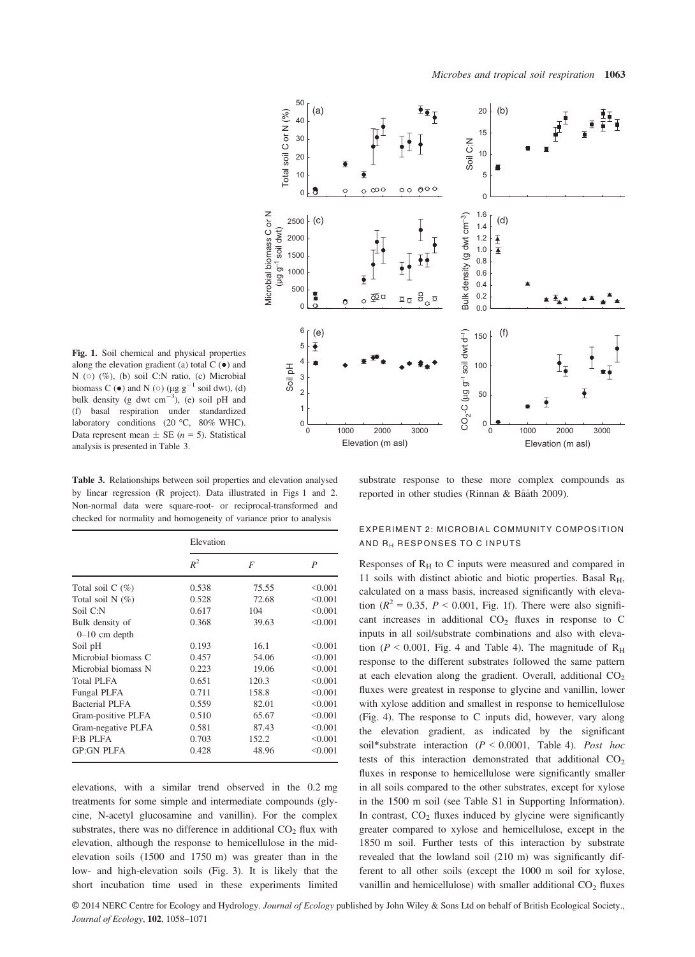

Fig. 1. Soil chemical and physical properties along the elevation gradient (a) total  $C(\bullet)$  and N (o) (%), (b) soil C:N ratio, (c) Microbial biomass C ( $\bullet$ ) and N ( $\circ$ ) ( $\mu$ g g<sup>-1</sup> soil dwt), (d) bulk density (g dwt  $\text{cm}^{-3}$ ), (e) soil pH and (f) basal respiration under standardized laboratory conditions (20 °C, 80% WHC). Data represent mean  $\pm$  SE (*n* = 5). Statistical analysis is presented in Table 3.

Table 3. Relationships between soil properties and elevation analysed by linear regression (R project). Data illustrated in Figs 1 and 2. Non-normal data were square-root- or reciprocal-transformed and checked for normality and homogeneity of variance prior to analysis

|                       | Elevation |       |         |  |  |  |  |
|-----------------------|-----------|-------|---------|--|--|--|--|
|                       | $R^2$     | F     | P       |  |  |  |  |
| Total soil $C(\%)$    | 0.538     | 75.55 | < 0.001 |  |  |  |  |
| Total soil $N(\%)$    | 0.528     | 72.68 | < 0.001 |  |  |  |  |
| Soil C:N              | 0.617     | 104   | < 0.001 |  |  |  |  |
| Bulk density of       | 0.368     | 39.63 | < 0.001 |  |  |  |  |
| $0-10$ cm depth       |           |       |         |  |  |  |  |
| Soil pH               | 0.193     | 16.1  | < 0.001 |  |  |  |  |
| Microbial biomass C   | 0.457     | 54.06 | < 0.001 |  |  |  |  |
| Microbial biomass N   | 0.223     | 19.06 | < 0.001 |  |  |  |  |
| Total PLFA            | 0.651     | 120.3 | < 0.001 |  |  |  |  |
| Fungal PLFA           | 0.711     | 158.8 | < 0.001 |  |  |  |  |
| <b>Bacterial PLFA</b> | 0.559     | 82.01 | < 0.001 |  |  |  |  |
| Gram-positive PLFA    | 0.510     | 65.67 | < 0.001 |  |  |  |  |
| Gram-negative PLFA    | 0.581     | 87.43 | < 0.001 |  |  |  |  |
| <b>F:B PLFA</b>       | 0.703     | 152.2 | < 0.001 |  |  |  |  |
| <b>GP:GN PLFA</b>     | 0.428     | 48.96 | < 0.001 |  |  |  |  |
|                       |           |       |         |  |  |  |  |

elevations, with a similar trend observed in the 0.2 mg treatments for some simple and intermediate compounds (glycine, N-acetyl glucosamine and vanillin). For the complex substrates, there was no difference in additional  $CO<sub>2</sub>$  flux with elevation, although the response to hemicellulose in the midelevation soils (1500 and 1750 m) was greater than in the low- and high-elevation soils (Fig. 3). It is likely that the short incubation time used in these experiments limited

substrate response to these more complex compounds as reported in other studies (Rinnan & Bååth 2009).

## EXPERIMENT 2: MICROBIAL COMMUNITY COMPOSITION AND RH RESPONSES TO C INPUTS

Responses of  $R<sub>H</sub>$  to C inputs were measured and compared in 11 soils with distinct abiotic and biotic properties. Basal  $R<sub>H</sub>$ , calculated on a mass basis, increased significantly with elevation ( $R^2 = 0.35$ ,  $P < 0.001$ , Fig. 1f). There were also significant increases in additional  $CO<sub>2</sub>$  fluxes in response to C inputs in all soil/substrate combinations and also with elevation ( $P \le 0.001$ , Fig. 4 and Table 4). The magnitude of  $R_H$ response to the different substrates followed the same pattern at each elevation along the gradient. Overall, additional  $CO<sub>2</sub>$ fluxes were greatest in response to glycine and vanillin, lower with xylose addition and smallest in response to hemicellulose (Fig. 4). The response to C inputs did, however, vary along the elevation gradient, as indicated by the significant soil\*substrate interaction ( $P < 0.0001$ , Table 4). Post hoc tests of this interaction demonstrated that additional  $CO<sub>2</sub>$ fluxes in response to hemicellulose were significantly smaller in all soils compared to the other substrates, except for xylose in the 1500 m soil (see Table S1 in Supporting Information). In contrast,  $CO<sub>2</sub>$  fluxes induced by glycine were significantly greater compared to xylose and hemicellulose, except in the 1850 m soil. Further tests of this interaction by substrate revealed that the lowland soil (210 m) was significantly different to all other soils (except the 1000 m soil for xylose, vanillin and hemicellulose) with smaller additional CO2 fluxes Soil C:N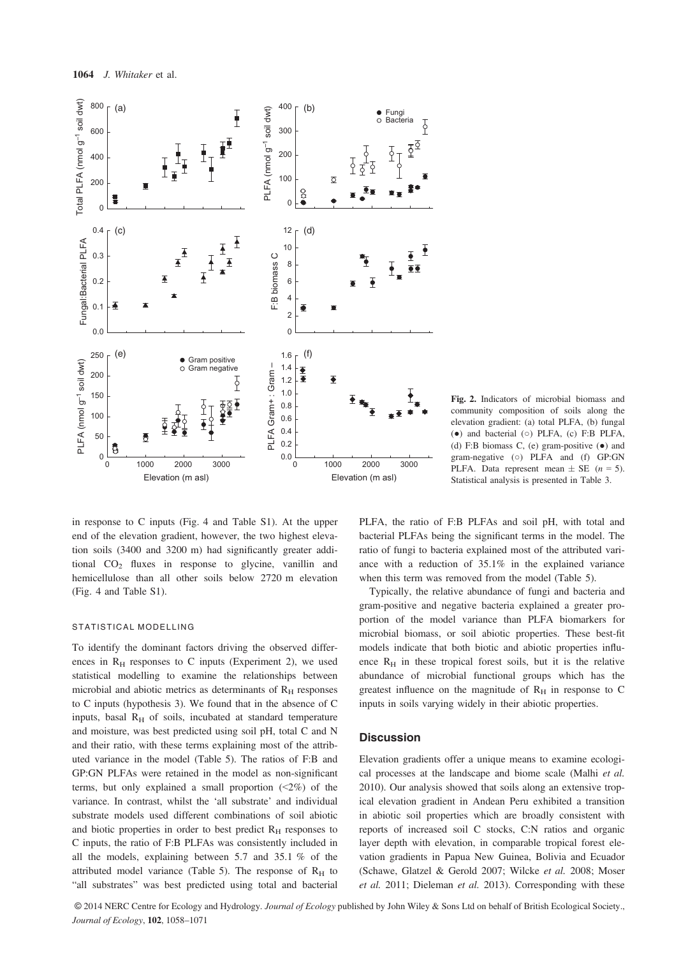

Fig. 2. Indicators of microbial biomass and community composition of soils along the elevation gradient: (a) total PLFA, (b) fungal (●) and bacterial (○) PLFA, (c) F:B PLFA, (d) F:B biomass C, (e) gram-positive  $(\bullet)$  and gram-negative (o) PLFA and (f) GP:GN PLFA. Data represent mean  $\pm$  SE (*n* = 5). Statistical analysis is presented in Table 3.

in response to C inputs (Fig. 4 and Table S1). At the upper end of the elevation gradient, however, the two highest elevation soils (3400 and 3200 m) had significantly greater additional  $CO<sub>2</sub>$  fluxes in response to glycine, vanillin and hemicellulose than all other soils below 2720 m elevation (Fig. 4 and Table S1).

#### STATISTICAL MODELLING

To identify the dominant factors driving the observed differences in  $R_H$  responses to C inputs (Experiment 2), we used statistical modelling to examine the relationships between microbial and abiotic metrics as determinants of  $R<sub>H</sub>$  responses to C inputs (hypothesis 3). We found that in the absence of C inputs, basal  $R<sub>H</sub>$  of soils, incubated at standard temperature and moisture, was best predicted using soil pH, total C and N and their ratio, with these terms explaining most of the attributed variance in the model (Table 5). The ratios of F:B and GP:GN PLFAs were retained in the model as non-significant terms, but only explained a small proportion  $(2\%)$  of the variance. In contrast, whilst the 'all substrate' and individual substrate models used different combinations of soil abiotic and biotic properties in order to best predict  $R<sub>H</sub>$  responses to C inputs, the ratio of F:B PLFAs was consistently included in all the models, explaining between 5.7 and 35.1 % of the attributed model variance (Table 5). The response of  $R_H$  to "all substrates" was best predicted using total and bacterial PLFA, the ratio of F:B PLFAs and soil pH, with total and bacterial PLFAs being the significant terms in the model. The ratio of fungi to bacteria explained most of the attributed variance with a reduction of 35.1% in the explained variance when this term was removed from the model (Table 5).

Typically, the relative abundance of fungi and bacteria and gram-positive and negative bacteria explained a greater proportion of the model variance than PLFA biomarkers for microbial biomass, or soil abiotic properties. These best-fit models indicate that both biotic and abiotic properties influence  $R_H$  in these tropical forest soils, but it is the relative abundance of microbial functional groups which has the greatest influence on the magnitude of  $R_H$  in response to  $C$ inputs in soils varying widely in their abiotic properties.

#### **Discussion**

Elevation gradients offer a unique means to examine ecological processes at the landscape and biome scale (Malhi et al. 2010). Our analysis showed that soils along an extensive tropical elevation gradient in Andean Peru exhibited a transition in abiotic soil properties which are broadly consistent with reports of increased soil C stocks, C:N ratios and organic layer depth with elevation, in comparable tropical forest elevation gradients in Papua New Guinea, Bolivia and Ecuador (Schawe, Glatzel & Gerold 2007; Wilcke et al. 2008; Moser et al. 2011; Dieleman et al. 2013). Corresponding with these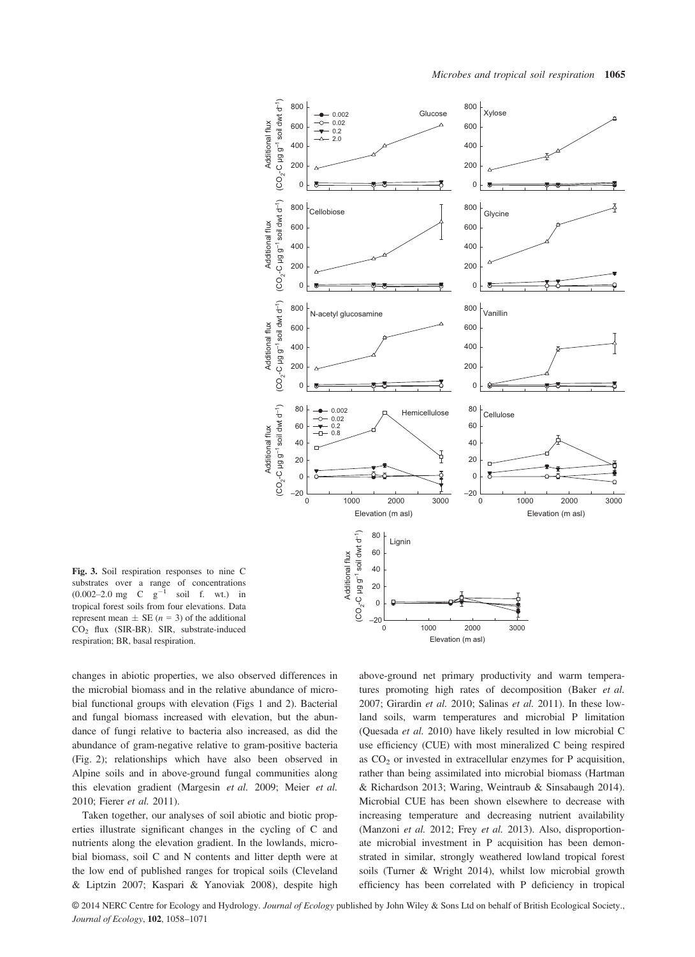

Fig. 3. Soil respiration responses to nine C substrates over a range of concentrations  $(0.002-2.0 \text{ mg } \text{C} \text{ g}^{-1} \text{ soil f. wt.}) \text{ in}$ tropical forest soils from four elevations. Data represent mean  $\pm$  SE (*n* = 3) of the additional CO2 flux (SIR-BR). SIR, substrate-induced respiration; BR, basal respiration.

changes in abiotic properties, we also observed differences in the microbial biomass and in the relative abundance of microbial functional groups with elevation (Figs 1 and 2). Bacterial and fungal biomass increased with elevation, but the abundance of fungi relative to bacteria also increased, as did the abundance of gram-negative relative to gram-positive bacteria (Fig. 2); relationships which have also been observed in Alpine soils and in above-ground fungal communities along this elevation gradient (Margesin et al. 2009; Meier et al. 2010; Fierer et al. 2011).

Taken together, our analyses of soil abiotic and biotic properties illustrate significant changes in the cycling of C and nutrients along the elevation gradient. In the lowlands, microbial biomass, soil C and N contents and litter depth were at the low end of published ranges for tropical soils (Cleveland & Liptzin 2007; Kaspari & Yanoviak 2008), despite high above-ground net primary productivity and warm temperatures promoting high rates of decomposition (Baker et al. 2007; Girardin et al. 2010; Salinas et al. 2011). In these lowland soils, warm temperatures and microbial P limitation (Quesada et al. 2010) have likely resulted in low microbial C use efficiency (CUE) with most mineralized C being respired as  $CO<sub>2</sub>$  or invested in extracellular enzymes for P acquisition, rather than being assimilated into microbial biomass (Hartman & Richardson 2013; Waring, Weintraub & Sinsabaugh 2014). Microbial CUE has been shown elsewhere to decrease with increasing temperature and decreasing nutrient availability (Manzoni et al. 2012; Frey et al. 2013). Also, disproportionate microbial investment in P acquisition has been demonstrated in similar, strongly weathered lowland tropical forest soils (Turner & Wright 2014), whilst low microbial growth efficiency has been correlated with P deficiency in tropical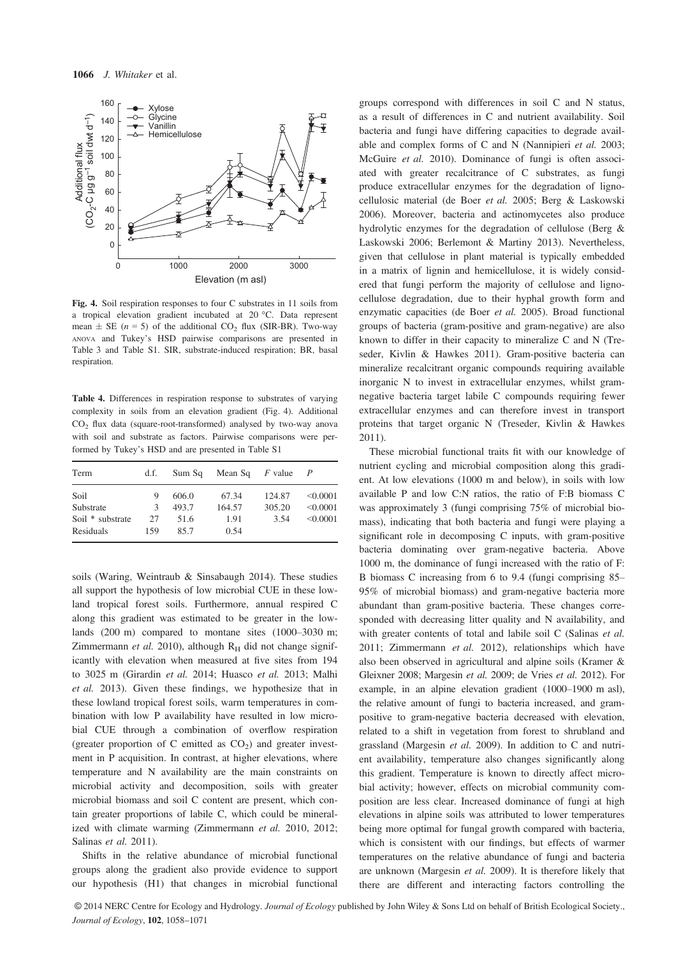

Fig. 4. Soil respiration responses to four C substrates in 11 soils from a tropical elevation gradient incubated at 20 °C. Data represent mean  $\pm$  SE (n = 5) of the additional CO<sub>2</sub> flux (SIR-BR). Two-way ANOVA and Tukey's HSD pairwise comparisons are presented in Table 3 and Table S1. SIR, substrate-induced respiration; BR, basal respiration.

Table 4. Differences in respiration response to substrates of varying complexity in soils from an elevation gradient (Fig. 4). Additional CO2 flux data (square-root-transformed) analysed by two-way anova with soil and substrate as factors. Pairwise comparisons were performed by Tukey's HSD and are presented in Table S1

| Term                                               | d.f.                | Sum Sq                         | Mean Sq                         | F value                  |                                  |
|----------------------------------------------------|---------------------|--------------------------------|---------------------------------|--------------------------|----------------------------------|
| Soil<br>Substrate<br>Soil * substrate<br>Residuals | 9<br>3<br>27<br>159 | 606.0<br>493.7<br>51.6<br>85.7 | 67.34<br>164.57<br>1.91<br>0.54 | 124.87<br>305.20<br>3.54 | < 0.0001<br>< 0.0001<br>< 0.0001 |

soils (Waring, Weintraub & Sinsabaugh 2014). These studies all support the hypothesis of low microbial CUE in these lowland tropical forest soils. Furthermore, annual respired C along this gradient was estimated to be greater in the lowlands (200 m) compared to montane sites (1000–3030 m; Zimmermann et al. 2010), although  $R_H$  did not change significantly with elevation when measured at five sites from 194 to 3025 m (Girardin et al. 2014; Huasco et al. 2013; Malhi et al. 2013). Given these findings, we hypothesize that in these lowland tropical forest soils, warm temperatures in combination with low P availability have resulted in low microbial CUE through a combination of overflow respiration (greater proportion of C emitted as  $CO<sub>2</sub>$ ) and greater investment in P acquisition. In contrast, at higher elevations, where temperature and N availability are the main constraints on microbial activity and decomposition, soils with greater microbial biomass and soil C content are present, which contain greater proportions of labile C, which could be mineralized with climate warming (Zimmermann et al. 2010, 2012; Salinas et al. 2011).

Shifts in the relative abundance of microbial functional groups along the gradient also provide evidence to support our hypothesis (H1) that changes in microbial functional groups correspond with differences in soil C and N status, as a result of differences in C and nutrient availability. Soil bacteria and fungi have differing capacities to degrade available and complex forms of C and N (Nannipieri et al. 2003; McGuire et al. 2010). Dominance of fungi is often associated with greater recalcitrance of C substrates, as fungi produce extracellular enzymes for the degradation of lignocellulosic material (de Boer et al. 2005; Berg & Laskowski 2006). Moreover, bacteria and actinomycetes also produce hydrolytic enzymes for the degradation of cellulose (Berg & Laskowski 2006; Berlemont & Martiny 2013). Nevertheless, given that cellulose in plant material is typically embedded in a matrix of lignin and hemicellulose, it is widely considered that fungi perform the majority of cellulose and lignocellulose degradation, due to their hyphal growth form and enzymatic capacities (de Boer et al. 2005). Broad functional groups of bacteria (gram-positive and gram-negative) are also known to differ in their capacity to mineralize C and N (Treseder, Kivlin & Hawkes 2011). Gram-positive bacteria can mineralize recalcitrant organic compounds requiring available inorganic N to invest in extracellular enzymes, whilst gramnegative bacteria target labile C compounds requiring fewer extracellular enzymes and can therefore invest in transport proteins that target organic N (Treseder, Kivlin & Hawkes 2011).

These microbial functional traits fit with our knowledge of nutrient cycling and microbial composition along this gradient. At low elevations (1000 m and below), in soils with low available P and low C:N ratios, the ratio of F:B biomass C was approximately 3 (fungi comprising 75% of microbial biomass), indicating that both bacteria and fungi were playing a significant role in decomposing C inputs, with gram-positive bacteria dominating over gram-negative bacteria. Above 1000 m, the dominance of fungi increased with the ratio of F: B biomass C increasing from 6 to 9.4 (fungi comprising 85– 95% of microbial biomass) and gram-negative bacteria more abundant than gram-positive bacteria. These changes corresponded with decreasing litter quality and N availability, and with greater contents of total and labile soil C (Salinas et al. 2011; Zimmermann et al. 2012), relationships which have also been observed in agricultural and alpine soils (Kramer & Gleixner 2008; Margesin et al. 2009; de Vries et al. 2012). For example, in an alpine elevation gradient (1000–1900 m asl), the relative amount of fungi to bacteria increased, and grampositive to gram-negative bacteria decreased with elevation, related to a shift in vegetation from forest to shrubland and grassland (Margesin et al. 2009). In addition to C and nutrient availability, temperature also changes significantly along this gradient. Temperature is known to directly affect microbial activity; however, effects on microbial community composition are less clear. Increased dominance of fungi at high elevations in alpine soils was attributed to lower temperatures being more optimal for fungal growth compared with bacteria, which is consistent with our findings, but effects of warmer temperatures on the relative abundance of fungi and bacteria are unknown (Margesin et al. 2009). It is therefore likely that there are different and interacting factors controlling the

© 2014 NERC Centre for Ecology and Hydrology. Journal of Ecology published by John Wiley & Sons Ltd on behalf of British Ecological Society., Journal of Ecology, 102, 1058–<sup>1071</sup>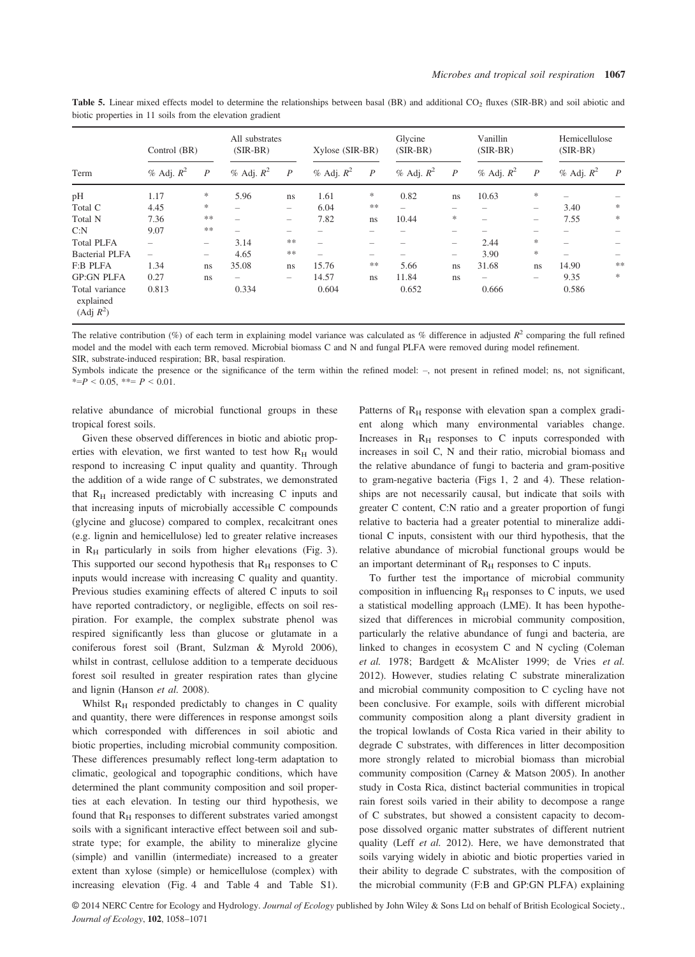|                                                      | Control (BR)   |                          | All substrates<br>$(SIR-BR)$ |               | Xylose (SIR-BR) |                  | Glycine<br>$(SIR-BR)$ |                          | Vanillin<br>$(SIR-BR)$   |                          | Hemicellulose<br>$(SIR-BR)$ |                  |
|------------------------------------------------------|----------------|--------------------------|------------------------------|---------------|-----------------|------------------|-----------------------|--------------------------|--------------------------|--------------------------|-----------------------------|------------------|
| Term                                                 | $%$ Adj. $R^2$ | $\overline{P}$           | $%$ Adj. $R^2$               | P             | $%$ Adj. $R^2$  | $\boldsymbol{P}$ | $%$ Adj. $R^2$        | $\boldsymbol{P}$         | $%$ Adj. $R^2$           | $\overline{P}$           | % Adj. $R^2$                | $\boldsymbol{P}$ |
| pH                                                   | 1.17           | $\ast$                   | 5.96                         | ns            | 1.61            | $\ast$           | 0.82                  | ns                       | 10.63                    | 水                        |                             |                  |
| Total C                                              | 4.45           | $\ast$                   | -                            |               | 6.04            | **               |                       |                          |                          | -                        | 3.40                        | *                |
| Total N                                              | 7.36           | **                       | $\overline{\phantom{0}}$     | -             | 7.82            | ns               | 10.44                 | *                        | $\overline{\phantom{0}}$ | $\overline{\phantom{0}}$ | 7.55                        | *                |
| C: N                                                 | 9.07           | $\ast$ $\ast$            |                              | -             |                 |                  |                       |                          |                          |                          |                             |                  |
| <b>Total PLFA</b>                                    |                | $\overline{\phantom{0}}$ | 3.14                         | **            |                 |                  |                       | $\overline{\phantom{0}}$ | 2.44                     | 水                        |                             |                  |
| <b>Bacterial PLFA</b>                                |                | $\overline{\phantom{0}}$ | 4.65                         | $\ast$ $\ast$ |                 |                  |                       | $\overline{\phantom{a}}$ | 3.90                     | 水                        |                             |                  |
| <b>F:B PLFA</b>                                      | 1.34           | ns                       | 35.08                        | ns            | 15.76           | **               | 5.66                  | ns                       | 31.68                    | ns                       | 14.90                       | 冰冰               |
| <b>GP:GN PLFA</b>                                    | 0.27           | ns                       | -                            |               | 14.57           | ns               | 11.84                 | ns                       |                          |                          | 9.35                        | $\ast$           |
| Total variance<br>explained<br>(Adj R <sup>2</sup> ) | 0.813          |                          | 0.334                        |               | 0.604           |                  | 0.652                 |                          | 0.666                    |                          | 0.586                       |                  |

Table 5. Linear mixed effects model to determine the relationships between basal (BR) and additional CO<sub>2</sub> fluxes (SIR-BR) and soil abiotic and biotic properties in 11 soils from the elevation gradient

The relative contribution (%) of each term in explaining model variance was calculated as % difference in adjusted  $R^2$  comparing the full refined model and the model with each term removed. Microbial biomass C and N and fungal PLFA were removed during model refinement. SIR, substrate-induced respiration; BR, basal respiration.

Symbols indicate the presence or the significance of the term within the refined model: –, not present in refined model; ns, not significant,  $*=P < 0.05$ ,  $**= P < 0.01$ .

relative abundance of microbial functional groups in these tropical forest soils.

Given these observed differences in biotic and abiotic properties with elevation, we first wanted to test how  $R_H$  would respond to increasing C input quality and quantity. Through the addition of a wide range of C substrates, we demonstrated that  $R_H$  increased predictably with increasing C inputs and that increasing inputs of microbially accessible C compounds (glycine and glucose) compared to complex, recalcitrant ones (e.g. lignin and hemicellulose) led to greater relative increases in  $R_H$  particularly in soils from higher elevations (Fig. 3). This supported our second hypothesis that  $R<sub>H</sub>$  responses to C inputs would increase with increasing C quality and quantity. Previous studies examining effects of altered C inputs to soil have reported contradictory, or negligible, effects on soil respiration. For example, the complex substrate phenol was respired significantly less than glucose or glutamate in a coniferous forest soil (Brant, Sulzman & Myrold 2006), whilst in contrast, cellulose addition to a temperate deciduous forest soil resulted in greater respiration rates than glycine and lignin (Hanson et al. 2008).

Whilst  $R<sub>H</sub>$  responded predictably to changes in C quality and quantity, there were differences in response amongst soils which corresponded with differences in soil abiotic and biotic properties, including microbial community composition. These differences presumably reflect long-term adaptation to climatic, geological and topographic conditions, which have determined the plant community composition and soil properties at each elevation. In testing our third hypothesis, we found that  $R<sub>H</sub>$  responses to different substrates varied amongst soils with a significant interactive effect between soil and substrate type; for example, the ability to mineralize glycine (simple) and vanillin (intermediate) increased to a greater extent than xylose (simple) or hemicellulose (complex) with increasing elevation (Fig. 4 and Table 4 and Table S1). Patterns of  $R<sub>H</sub>$  response with elevation span a complex gradient along which many environmental variables change. Increases in  $R<sub>H</sub>$  responses to C inputs corresponded with increases in soil C, N and their ratio, microbial biomass and the relative abundance of fungi to bacteria and gram-positive to gram-negative bacteria (Figs 1, 2 and 4). These relationships are not necessarily causal, but indicate that soils with greater C content, C:N ratio and a greater proportion of fungi relative to bacteria had a greater potential to mineralize additional C inputs, consistent with our third hypothesis, that the relative abundance of microbial functional groups would be an important determinant of  $R<sub>H</sub>$  responses to C inputs.

To further test the importance of microbial community composition in influencing  $R_H$  responses to C inputs, we used a statistical modelling approach (LME). It has been hypothesized that differences in microbial community composition, particularly the relative abundance of fungi and bacteria, are linked to changes in ecosystem C and N cycling (Coleman et al. 1978; Bardgett & McAlister 1999; de Vries et al. 2012). However, studies relating C substrate mineralization and microbial community composition to C cycling have not been conclusive. For example, soils with different microbial community composition along a plant diversity gradient in the tropical lowlands of Costa Rica varied in their ability to degrade C substrates, with differences in litter decomposition more strongly related to microbial biomass than microbial community composition (Carney & Matson 2005). In another study in Costa Rica, distinct bacterial communities in tropical rain forest soils varied in their ability to decompose a range of C substrates, but showed a consistent capacity to decompose dissolved organic matter substrates of different nutrient quality (Leff et al. 2012). Here, we have demonstrated that soils varying widely in abiotic and biotic properties varied in their ability to degrade C substrates, with the composition of the microbial community (F:B and GP:GN PLFA) explaining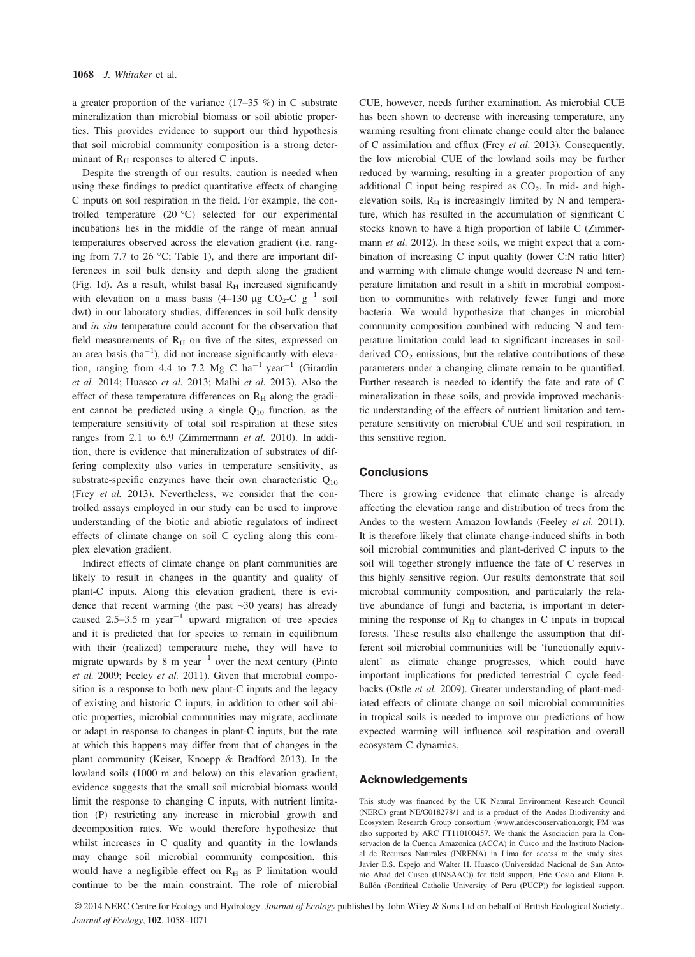a greater proportion of the variance (17–35 %) in C substrate mineralization than microbial biomass or soil abiotic properties. This provides evidence to support our third hypothesis that soil microbial community composition is a strong determinant of  $R<sub>H</sub>$  responses to altered C inputs.

Despite the strength of our results, caution is needed when using these findings to predict quantitative effects of changing C inputs on soil respiration in the field. For example, the controlled temperature (20 °C) selected for our experimental incubations lies in the middle of the range of mean annual temperatures observed across the elevation gradient (i.e. ranging from 7.7 to 26 °C; Table 1), and there are important differences in soil bulk density and depth along the gradient (Fig. 1d). As a result, whilst basal  $R_H$  increased significantly with elevation on a mass basis (4–130 µg CO<sub>2</sub>-C g<sup>-1</sup> soil dwt) in our laboratory studies, differences in soil bulk density and in situ temperature could account for the observation that field measurements of  $R_H$  on five of the sites, expressed on an area basis  $(ha^{-1})$ , did not increase significantly with elevation, ranging from 4.4 to 7.2 Mg C  $ha^{-1}$  year<sup>-1</sup> (Girardin et al. 2014; Huasco et al. 2013; Malhi et al. 2013). Also the effect of these temperature differences on  $R_H$  along the gradient cannot be predicted using a single  $Q_{10}$  function, as the temperature sensitivity of total soil respiration at these sites ranges from 2.1 to 6.9 (Zimmermann et al. 2010). In addition, there is evidence that mineralization of substrates of differing complexity also varies in temperature sensitivity, as substrate-specific enzymes have their own characteristic  $Q_{10}$ (Frey et al. 2013). Nevertheless, we consider that the controlled assays employed in our study can be used to improve understanding of the biotic and abiotic regulators of indirect effects of climate change on soil C cycling along this complex elevation gradient.

Indirect effects of climate change on plant communities are likely to result in changes in the quantity and quality of plant-C inputs. Along this elevation gradient, there is evidence that recent warming (the past  $\sim$ 30 years) has already caused  $2.5-3.5$  m year<sup>-1</sup> upward migration of tree species and it is predicted that for species to remain in equilibrium with their (realized) temperature niche, they will have to migrate upwards by 8 m year<sup>-1</sup> over the next century (Pinto et al. 2009; Feeley et al. 2011). Given that microbial composition is a response to both new plant-C inputs and the legacy of existing and historic C inputs, in addition to other soil abiotic properties, microbial communities may migrate, acclimate or adapt in response to changes in plant-C inputs, but the rate at which this happens may differ from that of changes in the plant community (Keiser, Knoepp & Bradford 2013). In the lowland soils (1000 m and below) on this elevation gradient, evidence suggests that the small soil microbial biomass would limit the response to changing C inputs, with nutrient limitation (P) restricting any increase in microbial growth and decomposition rates. We would therefore hypothesize that whilst increases in C quality and quantity in the lowlands may change soil microbial community composition, this would have a negligible effect on  $R_H$  as P limitation would continue to be the main constraint. The role of microbial CUE, however, needs further examination. As microbial CUE has been shown to decrease with increasing temperature, any warming resulting from climate change could alter the balance of C assimilation and efflux (Frey et al. 2013). Consequently, the low microbial CUE of the lowland soils may be further reduced by warming, resulting in a greater proportion of any additional C input being respired as  $CO<sub>2</sub>$ . In mid- and highelevation soils,  $R<sub>H</sub>$  is increasingly limited by N and temperature, which has resulted in the accumulation of significant C stocks known to have a high proportion of labile C (Zimmermann et al. 2012). In these soils, we might expect that a combination of increasing C input quality (lower C:N ratio litter) and warming with climate change would decrease N and temperature limitation and result in a shift in microbial composition to communities with relatively fewer fungi and more bacteria. We would hypothesize that changes in microbial community composition combined with reducing N and temperature limitation could lead to significant increases in soilderived  $CO<sub>2</sub>$  emissions, but the relative contributions of these parameters under a changing climate remain to be quantified. Further research is needed to identify the fate and rate of C mineralization in these soils, and provide improved mechanistic understanding of the effects of nutrient limitation and temperature sensitivity on microbial CUE and soil respiration, in this sensitive region.

## **Conclusions**

There is growing evidence that climate change is already affecting the elevation range and distribution of trees from the Andes to the western Amazon lowlands (Feeley et al. 2011). It is therefore likely that climate change-induced shifts in both soil microbial communities and plant-derived C inputs to the soil will together strongly influence the fate of C reserves in this highly sensitive region. Our results demonstrate that soil microbial community composition, and particularly the relative abundance of fungi and bacteria, is important in determining the response of  $R_H$  to changes in C inputs in tropical forests. These results also challenge the assumption that different soil microbial communities will be 'functionally equivalent' as climate change progresses, which could have important implications for predicted terrestrial C cycle feedbacks (Ostle et al. 2009). Greater understanding of plant-mediated effects of climate change on soil microbial communities in tropical soils is needed to improve our predictions of how expected warming will influence soil respiration and overall ecosystem C dynamics.

#### Acknowledgements

This study was financed by the UK Natural Environment Research Council (NERC) grant NE/G018278/1 and is a product of the Andes Biodiversity and Ecosystem Research Group consortium (www.andesconservation.org); PM was also supported by ARC FT110100457. We thank the Asociacion para la Conservacion de la Cuenca Amazonica (ACCA) in Cusco and the Instituto Nacional de Recursos Naturales (INRENA) in Lima for access to the study sites, Javier E.S. Espejo and Walter H. Huasco (Universidad Nacional de San Antonio Abad del Cusco (UNSAAC)) for field support, Eric Cosio and Eliana E. Ballón (Pontifical Catholic University of Peru (PUCP)) for logistical support,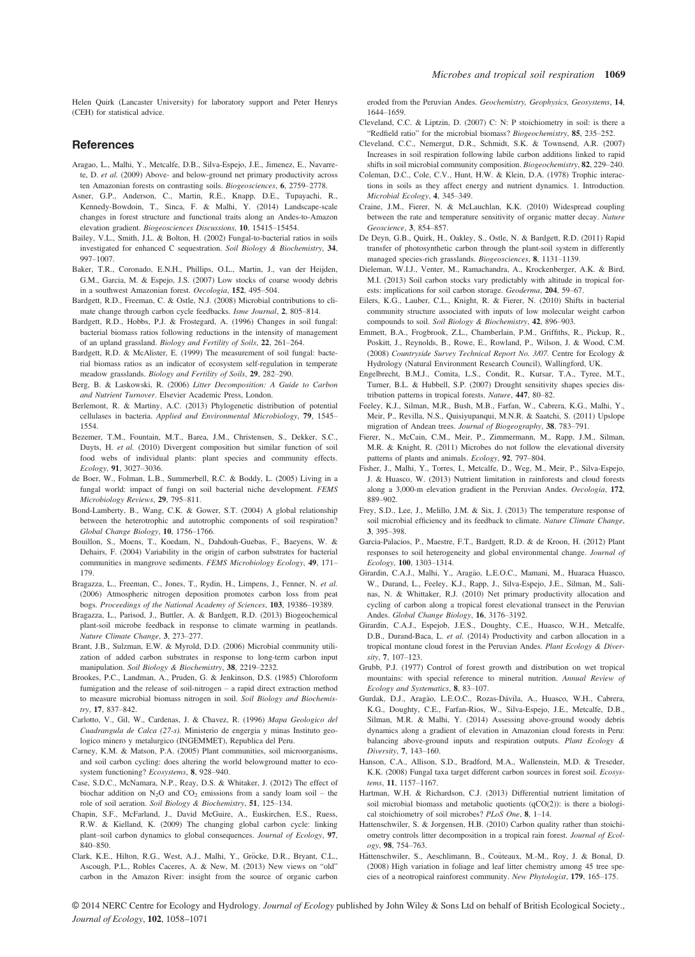Helen Quirk (Lancaster University) for laboratory support and Peter Henrys (CEH) for statistical advice.

#### References

- Aragao, L., Malhi, Y., Metcalfe, D.B., Silva-Espejo, J.E., Jimenez, E., Navarrete, D. et al. (2009) Above- and below-ground net primary productivity across ten Amazonian forests on contrasting soils. Biogeosciences, 6, 2759–2778.
- Asner, G.P., Anderson, C., Martin, R.E., Knapp, D.E., Tupayachi, R., Kennedy-Bowdoin, T., Sinca, F. & Malhi, Y. (2014) Landscape-scale changes in forest structure and functional traits along an Andes-to-Amazon elevation gradient. Biogeosciences Discussions, 10, 15415–15454.
- Bailey, V.L., Smith, J.L. & Bolton, H. (2002) Fungal-to-bacterial ratios in soils investigated for enhanced C sequestration. Soil Biology & Biochemistry, 34, 997–1007.
- Baker, T.R., Coronado, E.N.H., Phillips, O.L., Martin, J., van der Heijden, G.M., Garcia, M. & Espejo, J.S. (2007) Low stocks of coarse woody debris in a southwest Amazonian forest. Oecologia, 152, 495–504.
- Bardgett, R.D., Freeman, C. & Ostle, N.J. (2008) Microbial contributions to climate change through carbon cycle feedbacks. Isme Journal, 2, 805–814.
- Bardgett, R.D., Hobbs, P.J. & Frostegard, A. (1996) Changes in soil fungal: bacterial biomass ratios following reductions in the intensity of management of an upland grassland. Biology and Fertility of Soils, 22, 261–264.
- Bardgett, R.D. & McAlister, E. (1999) The measurement of soil fungal: bacterial biomass ratios as an indicator of ecosystem self-regulation in temperate meadow grasslands. Biology and Fertility of Soils, 29, 282–290.
- Berg, B. & Laskowski, R. (2006) Litter Decomposition: A Guide to Carbon and Nutrient Turnover. Elsevier Academic Press, London.
- Berlemont, R. & Martiny, A.C. (2013) Phylogenetic distribution of potential cellulases in bacteria. Applied and Environmental Microbiology, 79, 1545– 1554.
- Bezemer, T.M., Fountain, M.T., Barea, J.M., Christensen, S., Dekker, S.C., Duyts, H. et al. (2010) Divergent composition but similar function of soil food webs of individual plants: plant species and community effects.
- Ecology, 91, 3027–3036. de Boer, W., Folman, L.B., Summerbell, R.C. & Boddy, L. (2005) Living in a fungal world: impact of fungi on soil bacterial niche development. FEMS Microbiology Reviews, 29, 795–811.
- Bond-Lamberty, B., Wang, C.K. & Gower, S.T. (2004) A global relationship between the heterotrophic and autotrophic components of soil respiration? Global Change Biology, 10, 1756–1766.
- Bouillon, S., Moens, T., Koedam, N., Dahdouh-Guebas, F., Baeyens, W. & Dehairs, F. (2004) Variability in the origin of carbon substrates for bacterial communities in mangrove sediments. FEMS Microbiology Ecology, 49, 171– 179.
- Bragazza, L., Freeman, C., Jones, T., Rydin, H., Limpens, J., Fenner, N. et al. (2006) Atmospheric nitrogen deposition promotes carbon loss from peat bogs. Proceedings of the National Academy of Sciences, 103, 19386–19389.
- Bragazza, L., Parisod, J., Buttler, A. & Bardgett, R.D. (2013) Biogeochemical plant-soil microbe feedback in response to climate warming in peatlands. Nature Climate Change, 3, 273–277.
- Brant, J.B., Sulzman, E.W. & Myrold, D.D. (2006) Microbial community utilization of added carbon substrates in response to long-term carbon input manipulation. Soil Biology & Biochemistry, 38, 2219–2232.
- Brookes, P.C., Landman, A., Pruden, G. & Jenkinson, D.S. (1985) Chloroform fumigation and the release of soil-nitrogen – a rapid direct extraction method to measure microbial biomass nitrogen in soil. Soil Biology and Biochemis-
- try, 17, 837–842. Carlotto, V., Gil, W., Cardenas, J. & Chavez, R. (1996) Mapa Geologico del Cuadrangula de Calca (27-s). Ministerio de engergia y minas Instituto geologico minero y metalurgico (INGEMMET), Republica del Peru.
- Carney, K.M. & Matson, P.A. (2005) Plant communities, soil microorganisms, and soil carbon cycling: does altering the world belowground matter to ecosystem functioning? Ecosystems, 8, 928–940.
- Case, S.D.C., McNamara, N.P., Reay, D.S. & Whitaker, J. (2012) The effect of biochar addition on  $N_2O$  and  $CO_2$  emissions from a sandy loam soil – the role of soil aeration. Soil Biology & Biochemistry, 51, 125–134.
- Chapin, S.F., McFarland, J., David McGuire, A., Euskirchen, E.S., Ruess, R.W. & Kielland, K. (2009) The changing global carbon cycle: linking plant–soil carbon dynamics to global consequences. Journal of Ecology, 97, 840–850.
- Clark, K.E., Hilton, R.G., West, A.J., Malhi, Y., Gröcke, D.R., Bryant, C.L., Ascough, P.L., Robles Caceres, A. & New, M. (2013) New views on "old" carbon in the Amazon River: insight from the source of organic carbon

eroded from the Peruvian Andes. Geochemistry, Geophysics, Geosystems, 14, 1644–1659.

- Cleveland, C.C. & Liptzin, D. (2007) C: N: P stoichiometry in soil: is there a "Redfield ratio" for the microbial biomass? Biogeochemistry, 85, 235–252.
- Cleveland, C.C., Nemergut, D.R., Schmidt, S.K. & Townsend, A.R. (2007) Increases in soil respiration following labile carbon additions linked to rapid shifts in soil microbial community composition. Biogeochemistry, 82, 229–240.
- Coleman, D.C., Cole, C.V., Hunt, H.W. & Klein, D.A. (1978) Trophic interactions in soils as they affect energy and nutrient dynamics. 1. Introduction. Microbial Ecology, 4, 345–349.
- Craine, J.M., Fierer, N. & McLauchlan, K.K. (2010) Widespread coupling between the rate and temperature sensitivity of organic matter decay. Nature
- Geoscience, 3, 854–857.<br>De Deyn, G.B., Quirk, H., Oakley, S., Ostle, N. & Bardgett, R.D. (2011) Rapid transfer of photosynthetic carbon through the plant-soil system in differently managed species-rich grasslands. Biogeosciences, 8, 1131–1139.
- Dieleman, W.I.J., Venter, M., Ramachandra, A., Krockenberger, A.K. & Bird, M.I. (2013) Soil carbon stocks vary predictably with altitude in tropical forests: implications for soil carbon storage. Geoderma, 204, 59–67.
- Eilers, K.G., Lauber, C.L., Knight, R. & Fierer, N. (2010) Shifts in bacterial community structure associated with inputs of low molecular weight carbon compounds to soil. Soil Biology & Biochemistry, <sup>42</sup>, 896–903.
- Emmett, B.A., Frogbrook, Z.L., Chamberlain, P.M., Griffiths, R., Pickup, R., Poskitt, J., Reynolds, B., Rowe, E., Rowland, P., Wilson, J. & Wood, C.M. (2008) Countryside Survey Technical Report No. 3/07. Centre for Ecology & Hydrology (Natural Environment Research Council), Wallingford, UK.
- Engelbrecht, B.M.J., Comita, L.S., Condit, R., Kursar, T.A., Tyree, M.T., Turner, B.L. & Hubbell, S.P. (2007) Drought sensitivity shapes species distribution patterns in tropical forests. Nature, 447, 80–82.
- Feeley, K.J., Silman, M.R., Bush, M.B., Farfan, W., Cabrera, K.G., Malhi, Y., Meir, P., Revilla, N.S., Quisiyupanqui, M.N.R. & Saatchi, S. (2011) Upslope migration of Andean trees. Journal of Biogeography, 38, 783–791.
- Fierer, N., McCain, C.M., Meir, P., Zimmermann, M., Rapp, J.M., Silman, M.R. & Knight, R. (2011) Microbes do not follow the elevational diversity patterns of plants and animals. Ecology, 92, 797–804.
- Fisher, J., Malhi, Y., Torres, I., Metcalfe, D., Weg, M., Meir, P., Silva-Espejo, J. & Huasco, W. (2013) Nutrient limitation in rainforests and cloud forests along a 3,000-m elevation gradient in the Peruvian Andes. Oecologia, 172, 889–902.
- Frey, S.D., Lee, J., Melillo, J.M. & Six, J. (2013) The temperature response of soil microbial efficiency and its feedback to climate. Nature Climate Change, 3, 395–398.
- Garcia-Palacios, P., Maestre, F.T., Bardgett, R.D. & de Kroon, H. (2012) Plant responses to soil heterogeneity and global environmental change. Journal of Ecology, 100, 1303–1314.
- Girardin, C.A.J., Malhi, Y., Aragão, L.E.O.C., Mamani, M., Huaraca Huasco, W., Durand, L., Feeley, K.J., Rapp, J., Silva-Espejo, J.E., Silman, M., Salinas, N. & Whittaker, R.J. (2010) Net primary productivity allocation and cycling of carbon along a tropical forest elevational transect in the Peruvian Andes. Global Change Biology, 16, 3176–3192.
- Girardin, C.A.J., Espejob, J.E.S., Doughty, C.E., Huasco, W.H., Metcalfe, D.B., Durand-Baca, L. et al. (2014) Productivity and carbon allocation in a tropical montane cloud forest in the Peruvian Andes. Plant Ecology & Diversity, 7, 107–123.
- Grubb, P.J. (1977) Control of forest growth and distribution on wet tropical mountains: with special reference to mineral nutrition. Annual Review of Ecology and Systematics, 8, 83–107.
- Gurdak, D.J., Aragão, L.E.O.C., Rozas-Dávila, A., Huasco, W.H., Cabrera, K.G., Doughty, C.E., Farfan-Rios, W., Silva-Espejo, J.E., Metcalfe, D.B., Silman, M.R. & Malhi, Y. (2014) Assessing above-ground woody debris dynamics along a gradient of elevation in Amazonian cloud forests in Peru: balancing above-ground inputs and respiration outputs. Plant Ecology & Diversity, 7, 143–160.
- Hanson, C.A., Allison, S.D., Bradford, M.A., Wallenstein, M.D. & Treseder, K.K. (2008) Fungal taxa target different carbon sources in forest soil. Ecosystems, 11, 1157–1167.
- Hartman, W.H. & Richardson, C.J. (2013) Differential nutrient limitation of soil microbial biomass and metabolic quotients (qCO(2)): is there a biological stoichiometry of soil microbes? PLoS One, 8, 1–14.
- Hattenschwiler, S. & Jorgensen, H.B. (2010) Carbon quality rather than stoichiometry controls litter decomposition in a tropical rain forest. Journal of Ecology, 98, 754–763.
- Hättenschwiler, S., Aeschlimann, B., Coûteaux, M.-M., Roy, J. & Bonal, D. (2008) High variation in foliage and leaf litter chemistry among 45 tree species of a neotropical rainforest community. New Phytologist, 179, 165–175.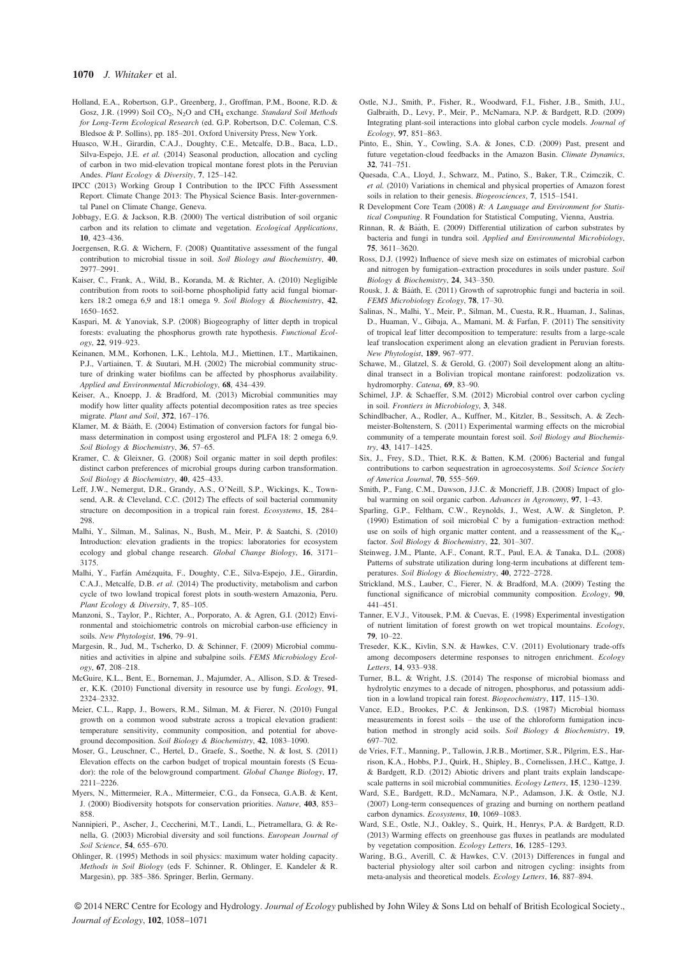#### 1070 J. Whitaker et al.

- Holland, E.A., Robertson, G.P., Greenberg, J., Groffman, P.M., Boone, R.D. & Gosz, J.R. (1999) Soil CO<sub>2</sub>, N<sub>2</sub>O and CH<sub>4</sub> exchange. Standard Soil Methods for Long-Term Ecological Research (ed. G.P. Robertson, D.C. Coleman, C.S. Bledsoe & P. Sollins), pp. 185–201. Oxford University Press, New York.
- Huasco, W.H., Girardin, C.A.J., Doughty, C.E., Metcalfe, D.B., Baca, L.D., Silva-Espejo, J.E. et al. (2014) Seasonal production, allocation and cycling of carbon in two mid-elevation tropical montane forest plots in the Peruvian Andes. Plant Ecology & Diversity,  $7$ , 125-142.
- Andes. *Plant Ecology & Diversity*, **7**, 125–142.<br>IPCC (2013) Working Group I Contribution to the IPCC Fifth Assessment Report. Climate Change 2013: The Physical Science Basis. Inter-governmental Panel on Climate Change, Geneva.
- Jobbagy, E.G. & Jackson, R.B. (2000) The vertical distribution of soil organic carbon and its relation to climate and vegetation. *Ecological Applications*, 10, 423-436.
- 10, 423–436. Joergensen, R.G. & Wichern, F. (2008) Quantitative assessment of the fungal contribution to microbial tissue in soil. Soil Biology and Biochemistry, 40, 2977–2991.
- Kaiser, C., Frank, A., Wild, B., Koranda, M. & Richter, A. (2010) Negligible contribution from roots to soil-borne phospholipid fatty acid fungal biomarkers 18:2 omega 6,9 and 18:1 omega 9. Soil Biology & Biochemistry, 42, 1650–1652.
- Kaspari, M. & Yanoviak, S.P. (2008) Biogeography of litter depth in tropical forests: evaluating the phosphorus growth rate hypothesis. Functional Ecology, 22, 919–923.
- Keinanen, M.M., Korhonen, L.K., Lehtola, M.J., Miettinen, I.T., Martikainen, P.J., Vartiainen, T. & Suutari, M.H. (2002) The microbial community structure of drinking water biofilms can be affected by phosphorus availability. Applied and Environmental Microbiology, 68, 434–439.
- Keiser, A., Knoepp, J. & Bradford, M. (2013) Microbial communities may modify how litter quality affects potential decomposition rates as tree species migrate. Plant and Soil, 372, 167–176.
- Klamer, M. & Bååth, E. (2004) Estimation of conversion factors for fungal biomass determination in compost using ergosterol and PLFA 18: 2 omega 6,9. Soil Biology & Biochemistry, 36, 57–65.
- Kramer, C. & Gleixner, G. (2008) Soil organic matter in soil depth profiles: distinct carbon preferences of microbial groups during carbon transformation. Soil Biology & Biochemistry, 40, 425–433.
- Leff, J.W., Nemergut, D.R., Grandy, A.S., O'Neill, S.P., Wickings, K., Townsend, A.R. & Cleveland, C.C. (2012) The effects of soil bacterial community structure on decomposition in a tropical rain forest. Ecosystems, <sup>15</sup>, 284– 298.
- Malhi, Y., Silman, M., Salinas, N., Bush, M., Meir, P. & Saatchi, S. (2010) Introduction: elevation gradients in the tropics: laboratories for ecosystem ecology and global change research. Global Change Biology, 16, 3171– 3175.
- Malhi, Y., Farfan Amezquita, F., Doughty, C.E., Silva-Espejo, J.E., Girardin, C.A.J., Metcalfe, D.B. et al. (2014) The productivity, metabolism and carbon cycle of two lowland tropical forest plots in south-western Amazonia, Peru. Plant Ecology & Diversity, 7, 85–105.
- Manzoni, S., Taylor, P., Richter, A., Porporato, A. & Agren, G.I. (2012) Environmental and stoichiometric controls on microbial carbon-use efficiency in soils. New Phytologist, 196, 79–91.
- Margesin, R., Jud, M., Tscherko, D. & Schinner, F. (2009) Microbial communities and activities in alpine and subalpine soils. FEMS Microbiology Ecology, 67, 208–218.
- McGuire, K.L., Bent, E., Borneman, J., Majumder, A., Allison, S.D. & Treseder, K.K. (2010) Functional diversity in resource use by fungi. Ecology, 91, 2324–2332.
- Meier, C.L., Rapp, J., Bowers, R.M., Silman, M. & Fierer, N. (2010) Fungal growth on a common wood substrate across a tropical elevation gradient: temperature sensitivity, community composition, and potential for aboveground decomposition. Soil Biology & Biochemistry, 42, 1083–1090.
- Moser, G., Leuschner, C., Hertel, D., Graefe, S., Soethe, N. & Iost, S. (2011) Elevation effects on the carbon budget of tropical mountain forests (S Ecuador): the role of the belowground compartment. Global Change Biology, 17, 2211–2226.
- Myers, N., Mittermeier, R.A., Mittermeier, C.G., da Fonseca, G.A.B. & Kent, J. (2000) Biodiversity hotspots for conservation priorities. Nature, 403, 853– 858.
- Nannipieri, P., Ascher, J., Ceccherini, M.T., Landi, L., Pietramellara, G. & Renella, G. (2003) Microbial diversity and soil functions. European Journal of Soil Science, 54, 655–670.
- Ohlinger, R. (1995) Methods in soil physics: maximum water holding capacity. Methods in Soil Biology (eds F. Schinner, R. Ohlinger, E. Kandeler & R. Margesin), pp. 385–386. Springer, Berlin, Germany.
- Ostle, N.J., Smith, P., Fisher, R., Woodward, F.I., Fisher, J.B., Smith, J.U., Galbraith, D., Levy, P., Meir, P., McNamara, N.P. & Bardgett, R.D. (2009) Integrating plant-soil interactions into global carbon cycle models. Journal of
- Ecology, 97, 851–863. Pinto, E., Shin, Y., Cowling, S.A. & Jones, C.D. (2009) Past, present and future vegetation-cloud feedbacks in the Amazon Basin. Climate Dynamics, 32. 741–751.
- 32, 741–751. Quesada, C.A., Lloyd, J., Schwarz, M., Patino, S., Baker, T.R., Czimczik, C. et al. (2010) Variations in chemical and physical properties of Amazon forest soils in relation to their genesis. Biogeosciences, 7, 1515–1541.
- R Development Core Team (2008) R: A Language and Environment for Statistical Computing. R Foundation for Statistical Computing, Vienna, Austria.
- Rinnan, R. & Baath, E. (2009) Differential utilization of carbon substrates by bacteria and fungi in tundra soil. Applied and Environmental Microbiology, 75, 3611-3620.
- 75, 3611–3620. Ross, D.J. (1992) Influence of sieve mesh size on estimates of microbial carbon and nitrogen by fumigation–extraction procedures in soils under pasture. Soil
- Biology & Biochemistry, 24, 343–350.<br>Rousk, J. & Bååth, E. (2011) Growth of saprotrophic fungi and bacteria in soil. FEMS Microbiology Ecology, 78, 17–30.
- Salinas, N., Malhi, Y., Meir, P., Silman, M., Cuesta, R.R., Huaman, J., Salinas, D., Huaman, V., Gibaja, A., Mamani, M. & Farfan, F. (2011) The sensitivity of tropical leaf litter decomposition to temperature: results from a large-scale leaf translocation experiment along an elevation gradient in Peruvian forests. New Phytologist, 189, 967–977.
- Schawe, M., Glatzel, S. & Gerold, G. (2007) Soil development along an altitudinal transect in a Bolivian tropical montane rainforest: podzolization vs. hydromorphy. Catena, 69, 83–90.
- Schimel, J.P. & Schaeffer, S.M. (2012) Microbial control over carbon cycling in soil. Frontiers in Microbiology, 3, 348.
- Schindlbacher, A., Rodler, A., Kuffner, M., Kitzler, B., Sessitsch, A. & Zechmeister-Boltenstern, S. (2011) Experimental warming effects on the microbial community of a temperate mountain forest soil. Soil Biology and Biochemistry, 43, 1417–1425.
- Six, J., Frey, S.D., Thiet, R.K. & Batten, K.M. (2006) Bacterial and fungal contributions to carbon sequestration in agroecosystems. Soil Science Society of America Journal, 70, 555-569.
- of America Journal, 70, 555–569.<br>Smith, P., Fang, C.M., Dawson, J.J.C. & Moncrieff, J.B. (2008) Impact of global warming on soil organic carbon. Advances in Agronomy, 97, 1–43.
- Sparling, G.P., Feltham, C.W., Reynolds, J., West, A.W. & Singleton, P. (1990) Estimation of soil microbial C by a fumigation–extraction method: use on soils of high organic matter content, and a reassessment of the  $K_{ec}$ factor. Soil Biology & Biochemistry, 22, 301–307.
- Steinweg, J.M., Plante, A.F., Conant, R.T., Paul, E.A. & Tanaka, D.L. (2008) Patterns of substrate utilization during long-term incubations at different temperatures. Soil Biology & Biochemistry, 40, 2722–2728.
- Strickland, M.S., Lauber, C., Fierer, N. & Bradford, M.A. (2009) Testing the functional significance of microbial community composition. Ecology, 90, 441–451.
- Tanner, E.V.J., Vitousek, P.M. & Cuevas, E. (1998) Experimental investigation of nutrient limitation of forest growth on wet tropical mountains. Ecology, 79, 10–22.
- Treseder, K.K., Kivlin, S.N. & Hawkes, C.V. (2011) Evolutionary trade-offs among decomposers determine responses to nitrogen enrichment. Ecology Letters, 14, 933–938.
- Turner, B.L. & Wright, J.S. (2014) The response of microbial biomass and hydrolytic enzymes to a decade of nitrogen, phosphorus, and potassium addition in a lowland tropical rain forest. Biogeochemistry, 117, 115–130.
- Vance, E.D., Brookes, P.C. & Jenkinson, D.S. (1987) Microbial biomass measurements in forest soils – the use of the chloroform fumigation incubation method in strongly acid soils. Soil Biology & Biochemistry, 19, 697–702.
- de Vries, F.T., Manning, P., Tallowin, J.R.B., Mortimer, S.R., Pilgrim, E.S., Harrison, K.A., Hobbs, P.J., Quirk, H., Shipley, B., Cornelissen, J.H.C., Kattge, J. & Bardgett, R.D. (2012) Abiotic drivers and plant traits explain landscapescale patterns in soil microbial communities. Ecology Letters, 15, 1230–1239.
- Ward, S.E., Bardgett, R.D., McNamara, N.P., Adamson, J.K. & Ostle, N.J. (2007) Long-term consequences of grazing and burning on northern peatland carbon dynamics. Ecosystems, 10, 1069–1083.
- Ward, S.E., Ostle, N.J., Oakley, S., Quirk, H., Henrys, P.A. & Bardgett, R.D. (2013) Warming effects on greenhouse gas fluxes in peatlands are modulated by vegetation composition. Ecology Letters, 16, 1285–1293.
- Waring, B.G., Averill, C. & Hawkes, C.V. (2013) Differences in fungal and bacterial physiology alter soil carbon and nitrogen cycling: insights from meta-analysis and theoretical models. Ecology Letters, 16, 887–894.